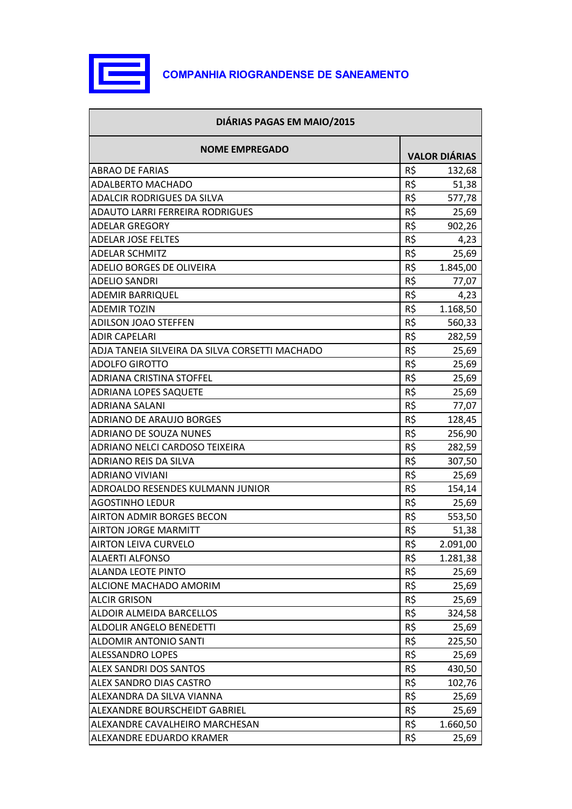

| DIÁRIAS PAGAS EM MAIO/2015                     |     |                      |
|------------------------------------------------|-----|----------------------|
| <b>NOME EMPREGADO</b>                          |     | <b>VALOR DIÁRIAS</b> |
| <b>ABRAO DE FARIAS</b>                         | R\$ | 132,68               |
| <b>ADALBERTO MACHADO</b>                       | R\$ | 51,38                |
| <b>ADALCIR RODRIGUES DA SILVA</b>              | R\$ | 577,78               |
| <b>ADAUTO LARRI FERREIRA RODRIGUES</b>         | R\$ | 25,69                |
| <b>ADELAR GREGORY</b>                          | R\$ | 902,26               |
| <b>ADELAR JOSE FELTES</b>                      | R\$ | 4,23                 |
| <b>ADELAR SCHMITZ</b>                          | R\$ | 25,69                |
| ADELIO BORGES DE OLIVEIRA                      | R\$ | 1.845,00             |
| <b>ADELIO SANDRI</b>                           | R\$ | 77,07                |
| <b>ADEMIR BARRIQUEL</b>                        | R\$ | 4,23                 |
| <b>ADEMIR TOZIN</b>                            | R\$ | 1.168,50             |
| <b>ADILSON JOAO STEFFEN</b>                    | R\$ | 560,33               |
| <b>ADIR CAPELARI</b>                           | R\$ | 282,59               |
| ADJA TANEIA SILVEIRA DA SILVA CORSETTI MACHADO | R\$ | 25,69                |
| <b>ADOLFO GIROTTO</b>                          | R\$ | 25,69                |
| <b>ADRIANA CRISTINA STOFFEL</b>                | R\$ | 25,69                |
| <b>ADRIANA LOPES SAQUETE</b>                   | R\$ | 25,69                |
| <b>ADRIANA SALANI</b>                          | R\$ | 77,07                |
| <b>ADRIANO DE ARAUJO BORGES</b>                | R\$ | 128,45               |
| <b>ADRIANO DE SOUZA NUNES</b>                  | R\$ | 256,90               |
| <b>ADRIANO NELCI CARDOSO TEIXEIRA</b>          | R\$ | 282,59               |
| <b>ADRIANO REIS DA SILVA</b>                   | R\$ | 307,50               |
| <b>ADRIANO VIVIANI</b>                         | R\$ | 25,69                |
| <b>ADROALDO RESENDES KULMANN JUNIOR</b>        | R\$ | 154,14               |
| <b>AGOSTINHO LEDUR</b>                         | R\$ | 25,69                |
| <b>AIRTON ADMIR BORGES BECON</b>               | R\$ | 553,50               |
| <b>AIRTON JORGE MARMITT</b>                    | R\$ | 51,38                |
| <b>AIRTON LEIVA CURVELO</b>                    | R\$ | 2.091,00             |
| <b>ALAERTI ALFONSO</b>                         | R\$ | 1.281,38             |
| <b>ALANDA LEOTE PINTO</b>                      | R\$ | 25,69                |
| ALCIONE MACHADO AMORIM                         | R\$ | 25,69                |
| <b>ALCIR GRISON</b>                            | R\$ | 25,69                |
| ALDOIR ALMEIDA BARCELLOS                       | R\$ | 324,58               |
| <b>ALDOLIR ANGELO BENEDETTI</b>                | R\$ | 25,69                |
| <b>ALDOMIR ANTONIO SANTI</b>                   | R\$ | 225,50               |
| <b>ALESSANDRO LOPES</b>                        | R\$ | 25,69                |
| <b>ALEX SANDRI DOS SANTOS</b>                  | R\$ | 430,50               |
| <b>ALEX SANDRO DIAS CASTRO</b>                 | R\$ | 102,76               |
| ALEXANDRA DA SILVA VIANNA                      | R\$ | 25,69                |
| ALEXANDRE BOURSCHEIDT GABRIEL                  | R\$ | 25,69                |
| ALEXANDRE CAVALHEIRO MARCHESAN                 | R\$ | 1.660,50             |
| ALEXANDRE EDUARDO KRAMER                       | R\$ | 25,69                |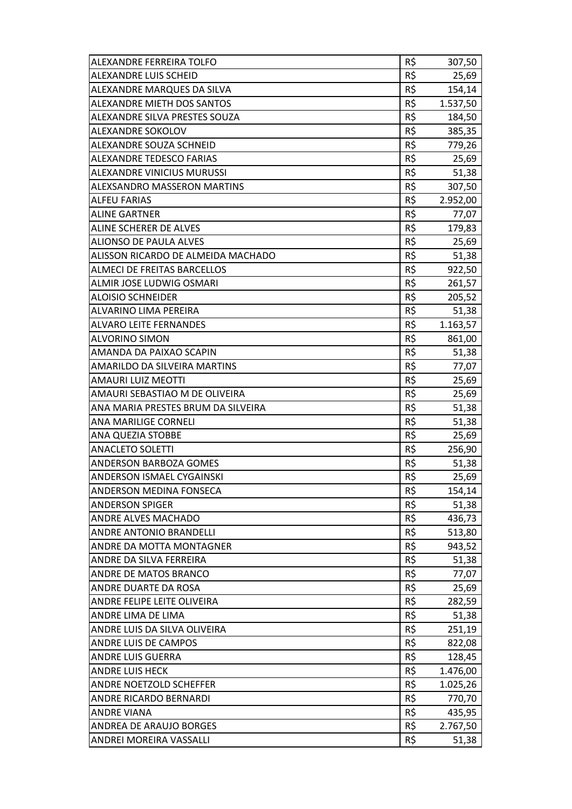| ALEXANDRE FERREIRA TOLFO           | R\$ | 307,50   |
|------------------------------------|-----|----------|
| <b>ALEXANDRE LUIS SCHEID</b>       | R\$ | 25,69    |
| ALEXANDRE MARQUES DA SILVA         | R\$ | 154,14   |
| <b>ALEXANDRE MIETH DOS SANTOS</b>  | R\$ | 1.537,50 |
| ALEXANDRE SILVA PRESTES SOUZA      | R\$ | 184,50   |
| <b>ALEXANDRE SOKOLOV</b>           | R\$ | 385,35   |
| <b>ALEXANDRE SOUZA SCHNEID</b>     | R\$ | 779,26   |
| <b>ALEXANDRE TEDESCO FARIAS</b>    | R\$ | 25,69    |
| <b>ALEXANDRE VINICIUS MURUSSI</b>  | R\$ | 51,38    |
| <b>ALEXSANDRO MASSERON MARTINS</b> | R\$ | 307,50   |
| <b>ALFEU FARIAS</b>                | R\$ | 2.952,00 |
| <b>ALINE GARTNER</b>               | R\$ | 77,07    |
| <b>ALINE SCHERER DE ALVES</b>      | R\$ | 179,83   |
| <b>ALIONSO DE PAULA ALVES</b>      | R\$ | 25,69    |
| ALISSON RICARDO DE ALMEIDA MACHADO | R\$ | 51,38    |
| <b>ALMECI DE FREITAS BARCELLOS</b> | R\$ | 922,50   |
| <b>ALMIR JOSE LUDWIG OSMARI</b>    | R\$ | 261,57   |
| <b>ALOISIO SCHNEIDER</b>           | R\$ | 205,52   |
| <b>ALVARINO LIMA PEREIRA</b>       | R\$ | 51,38    |
| <b>ALVARO LEITE FERNANDES</b>      | R\$ | 1.163,57 |
| <b>ALVORINO SIMON</b>              | R\$ | 861,00   |
| AMANDA DA PAIXAO SCAPIN            | R\$ | 51,38    |
| AMARILDO DA SILVEIRA MARTINS       | R\$ | 77,07    |
| <b>AMAURI LUIZ MEOTTI</b>          | R\$ | 25,69    |
| AMAURI SEBASTIAO M DE OLIVEIRA     | R\$ | 25,69    |
| ANA MARIA PRESTES BRUM DA SILVEIRA | R\$ | 51,38    |
| <b>ANA MARILIGE CORNELI</b>        | R\$ | 51,38    |
| <b>ANA QUEZIA STOBBE</b>           | R\$ | 25,69    |
| <b>ANACLETO SOLETTI</b>            | R\$ | 256,90   |
| <b>ANDERSON BARBOZA GOMES</b>      | R\$ | 51,38    |
| <b>ANDERSON ISMAEL CYGAINSKI</b>   | R\$ | 25,69    |
| <b>ANDERSON MEDINA FONSECA</b>     | R\$ | 154,14   |
| <b>ANDERSON SPIGER</b>             | R\$ | 51,38    |
| <b>ANDRE ALVES MACHADO</b>         | R\$ | 436,73   |
| <b>ANDRE ANTONIO BRANDELLI</b>     | R\$ | 513,80   |
| ANDRE DA MOTTA MONTAGNER           | R\$ | 943,52   |
| ANDRE DA SILVA FERREIRA            | R\$ | 51,38    |
| <b>ANDRE DE MATOS BRANCO</b>       | R\$ | 77,07    |
| <b>ANDRE DUARTE DA ROSA</b>        | R\$ | 25,69    |
| <b>ANDRE FELIPE LEITE OLIVEIRA</b> | R\$ | 282,59   |
| <b>ANDRE LIMA DE LIMA</b>          | R\$ | 51,38    |
| ANDRE LUIS DA SILVA OLIVEIRA       | R\$ | 251,19   |
| <b>ANDRE LUIS DE CAMPOS</b>        | R\$ | 822,08   |
| <b>ANDRE LUIS GUERRA</b>           | R\$ | 128,45   |
| <b>ANDRE LUIS HECK</b>             | R\$ | 1.476,00 |
| <b>ANDRE NOETZOLD SCHEFFER</b>     | R\$ | 1.025,26 |
| <b>ANDRE RICARDO BERNARDI</b>      | R\$ | 770,70   |
| <b>ANDRE VIANA</b>                 | R\$ | 435,95   |
| <b>ANDREA DE ARAUJO BORGES</b>     | R\$ | 2.767,50 |
| <b>ANDREI MOREIRA VASSALLI</b>     | R\$ | 51,38    |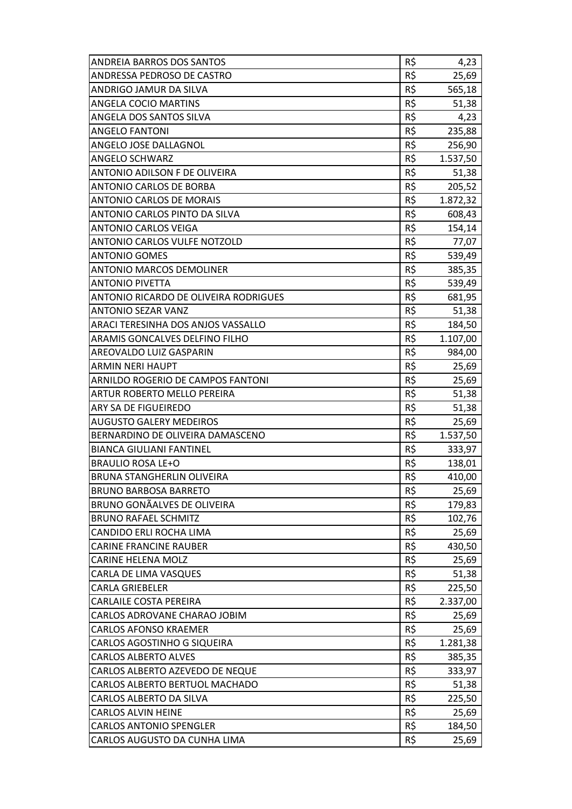| <b>ANDREIA BARROS DOS SANTOS</b>             | R\$      | 4,23     |
|----------------------------------------------|----------|----------|
| <b>ANDRESSA PEDROSO DE CASTRO</b>            | R\$      | 25,69    |
| ANDRIGO JAMUR DA SILVA                       | R\$      | 565,18   |
| <b>ANGELA COCIO MARTINS</b>                  | R\$      | 51,38    |
| ANGELA DOS SANTOS SILVA                      | R\$      | 4,23     |
| <b>ANGELO FANTONI</b>                        | R\$      | 235,88   |
| <b>ANGELO JOSE DALLAGNOL</b>                 | R\$      | 256,90   |
| <b>ANGELO SCHWARZ</b>                        | R\$      | 1.537,50 |
| <b>ANTONIO ADILSON F DE OLIVEIRA</b>         | R\$      | 51,38    |
| <b>ANTONIO CARLOS DE BORBA</b>               | R\$      | 205,52   |
| <b>ANTONIO CARLOS DE MORAIS</b>              | R\$      | 1.872,32 |
| <b>ANTONIO CARLOS PINTO DA SILVA</b>         | R\$      | 608,43   |
| <b>ANTONIO CARLOS VEIGA</b>                  | R\$      | 154,14   |
| <b>ANTONIO CARLOS VULFE NOTZOLD</b>          | R\$      | 77,07    |
| <b>ANTONIO GOMES</b>                         | R\$      | 539,49   |
| <b>ANTONIO MARCOS DEMOLINER</b>              | R\$      | 385,35   |
| <b>ANTONIO PIVETTA</b>                       | R\$      | 539,49   |
| <b>ANTONIO RICARDO DE OLIVEIRA RODRIGUES</b> | R\$      | 681,95   |
| <b>ANTONIO SEZAR VANZ</b>                    | R\$      | 51,38    |
| <b>ARACI TERESINHA DOS ANJOS VASSALLO</b>    | R\$      | 184,50   |
| <b>ARAMIS GONCALVES DELFINO FILHO</b>        | R\$      | 1.107,00 |
| AREOVALDO LUIZ GASPARIN                      | R\$      | 984,00   |
| <b>ARMIN NERI HAUPT</b>                      | R\$      | 25,69    |
| <b>ARNILDO ROGERIO DE CAMPOS FANTONI</b>     | R\$      | 25,69    |
| <b>ARTUR ROBERTO MELLO PEREIRA</b>           | R\$      | 51,38    |
| <b>ARY SA DE FIGUEIREDO</b>                  | R\$      | 51,38    |
| <b>AUGUSTO GALERY MEDEIROS</b>               | R\$      | 25,69    |
| <b>BERNARDINO DE OLIVEIRA DAMASCENO</b>      | R\$      | 1.537,50 |
| <b>BIANCA GIULIANI FANTINEL</b>              | R\$      | 333,97   |
| <b>BRAULIO ROSA LE+O</b>                     | R\$      | 138,01   |
| <b>BRUNA STANGHERLIN OLIVEIRA</b>            | R\$      | 410,00   |
| <b>BRUNO BARBOSA BARRETO</b>                 | R\$      | 25,69    |
| <b>BRUNO GONÃALVES DE OLIVEIRA</b>           | R\$      | 179,83   |
| <b>BRUNO RAFAEL SCHMITZ</b>                  | R\$      | 102,76   |
| CANDIDO ERLI ROCHA LIMA                      | R\$      | 25,69    |
| <b>CARINE FRANCINE RAUBER</b>                | R\$      | 430,50   |
| <b>CARINE HELENA MOLZ</b>                    | R\$      | 25,69    |
| CARLA DE LIMA VASQUES                        | R\$      | 51,38    |
| <b>CARLA GRIEBELER</b>                       | R\$      | 225,50   |
| <b>CARLAILE COSTA PEREIRA</b>                | R\$      | 2.337,00 |
| CARLOS ADROVANE CHARAO JOBIM                 | R\$      | 25,69    |
| <b>CARLOS AFONSO KRAEMER</b>                 | R\$      | 25,69    |
| CARLOS AGOSTINHO G SIQUEIRA                  | R\$      | 1.281,38 |
| <b>CARLOS ALBERTO ALVES</b>                  | R\$      | 385,35   |
| CARLOS ALBERTO AZEVEDO DE NEQUE              | $R\zeta$ | 333,97   |
| CARLOS ALBERTO BERTUOL MACHADO               | R\$      | 51,38    |
| CARLOS ALBERTO DA SILVA                      | R\$      | 225,50   |
| <b>CARLOS ALVIN HEINE</b>                    | R\$      | 25,69    |
| <b>CARLOS ANTONIO SPENGLER</b>               | R\$      | 184,50   |
| CARLOS AUGUSTO DA CUNHA LIMA                 | R\$      | 25,69    |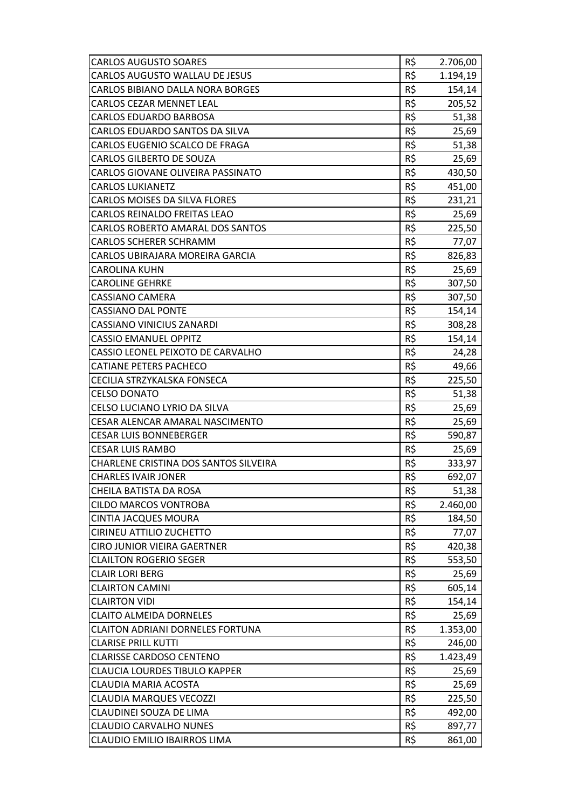| <b>CARLOS AUGUSTO SOARES</b>                 | R\$ | 2.706,00 |
|----------------------------------------------|-----|----------|
| <b>CARLOS AUGUSTO WALLAU DE JESUS</b>        | R\$ | 1.194,19 |
| <b>CARLOS BIBIANO DALLA NORA BORGES</b>      | R\$ | 154,14   |
| <b>CARLOS CEZAR MENNET LEAL</b>              | R\$ | 205,52   |
| <b>CARLOS EDUARDO BARBOSA</b>                | R\$ | 51,38    |
| CARLOS EDUARDO SANTOS DA SILVA               | R\$ | 25,69    |
| CARLOS EUGENIO SCALCO DE FRAGA               | R\$ | 51,38    |
| <b>CARLOS GILBERTO DE SOUZA</b>              | R\$ | 25,69    |
| <b>CARLOS GIOVANE OLIVEIRA PASSINATO</b>     | R\$ | 430,50   |
| <b>CARLOS LUKIANETZ</b>                      | R\$ | 451,00   |
| <b>CARLOS MOISES DA SILVA FLORES</b>         | R\$ | 231,21   |
| <b>CARLOS REINALDO FREITAS LEAO</b>          | R\$ | 25,69    |
| <b>CARLOS ROBERTO AMARAL DOS SANTOS</b>      | R\$ | 225,50   |
| <b>CARLOS SCHERER SCHRAMM</b>                | R\$ | 77,07    |
| CARLOS UBIRAJARA MOREIRA GARCIA              | R\$ | 826,83   |
| <b>CAROLINA KUHN</b>                         | R\$ | 25,69    |
| <b>CAROLINE GEHRKE</b>                       | R\$ | 307,50   |
| <b>CASSIANO CAMERA</b>                       | R\$ | 307,50   |
| <b>CASSIANO DAL PONTE</b>                    | R\$ | 154,14   |
| <b>CASSIANO VINICIUS ZANARDI</b>             | R\$ | 308,28   |
| <b>CASSIO EMANUEL OPPITZ</b>                 | R\$ | 154,14   |
| CASSIO LEONEL PEIXOTO DE CARVALHO            | R\$ | 24,28    |
| <b>CATIANE PETERS PACHECO</b>                | R\$ | 49,66    |
| CECILIA STRZYKALSKA FONSECA                  | R\$ | 225,50   |
| <b>CELSO DONATO</b>                          | R\$ | 51,38    |
| CELSO LUCIANO LYRIO DA SILVA                 | R\$ | 25,69    |
| CESAR ALENCAR AMARAL NASCIMENTO              | R\$ | 25,69    |
| <b>CESAR LUIS BONNEBERGER</b>                | R\$ | 590,87   |
| <b>CESAR LUIS RAMBO</b>                      | R\$ | 25,69    |
| <b>CHARLENE CRISTINA DOS SANTOS SILVEIRA</b> | R\$ | 333,97   |
| <b>CHARLES IVAIR JONER</b>                   | R\$ | 692,07   |
| CHEILA BATISTA DA ROSA                       | R\$ | 51,38    |
| <b>CILDO MARCOS VONTROBA</b>                 | R\$ | 2.460,00 |
| <b>CINTIA JACQUES MOURA</b>                  | R\$ | 184,50   |
| <b>CIRINEU ATTILIO ZUCHETTO</b>              | R\$ | 77,07    |
| <b>CIRO JUNIOR VIEIRA GAERTNER</b>           | R\$ | 420,38   |
| <b>CLAILTON ROGERIO SEGER</b>                | R\$ | 553,50   |
| <b>CLAIR LORI BERG</b>                       | R\$ | 25,69    |
| <b>CLAIRTON CAMINI</b>                       | R\$ | 605,14   |
| <b>CLAIRTON VIDI</b>                         | R\$ | 154,14   |
| <b>CLAITO ALMEIDA DORNELES</b>               | R\$ | 25,69    |
| <b>CLAITON ADRIANI DORNELES FORTUNA</b>      | R\$ | 1.353,00 |
| <b>CLARISE PRILL KUTTI</b>                   | R\$ | 246,00   |
| <b>CLARISSE CARDOSO CENTENO</b>              | R\$ | 1.423,49 |
| <b>CLAUCIA LOURDES TIBULO KAPPER</b>         | R\$ | 25,69    |
| <b>CLAUDIA MARIA ACOSTA</b>                  | R\$ | 25,69    |
| <b>CLAUDIA MARQUES VECOZZI</b>               | R\$ | 225,50   |
| CLAUDINEI SOUZA DE LIMA                      | R\$ | 492,00   |
| <b>CLAUDIO CARVALHO NUNES</b>                | R\$ | 897,77   |
| <b>CLAUDIO EMILIO IBAIRROS LIMA</b>          | R\$ | 861,00   |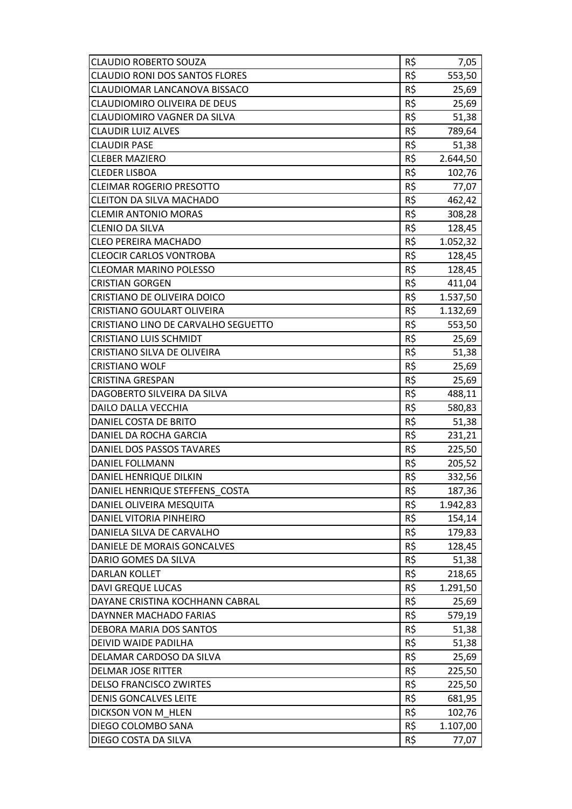| <b>CLAUDIO ROBERTO SOUZA</b>          | R\$ | 7,05     |
|---------------------------------------|-----|----------|
| <b>CLAUDIO RONI DOS SANTOS FLORES</b> | R\$ | 553,50   |
| CLAUDIOMAR LANCANOVA BISSACO          | R\$ | 25,69    |
| <b>CLAUDIOMIRO OLIVEIRA DE DEUS</b>   | R\$ | 25,69    |
| <b>CLAUDIOMIRO VAGNER DA SILVA</b>    | R\$ | 51,38    |
| <b>CLAUDIR LUIZ ALVES</b>             | R\$ | 789,64   |
| <b>CLAUDIR PASE</b>                   | R\$ | 51,38    |
| <b>CLEBER MAZIERO</b>                 | R\$ | 2.644,50 |
| <b>CLEDER LISBOA</b>                  | R\$ | 102,76   |
| <b>CLEIMAR ROGERIO PRESOTTO</b>       | R\$ | 77,07    |
| <b>CLEITON DA SILVA MACHADO</b>       | R\$ | 462,42   |
| <b>CLEMIR ANTONIO MORAS</b>           | R\$ | 308,28   |
| <b>CLENIO DA SILVA</b>                | R\$ | 128,45   |
| <b>CLEO PEREIRA MACHADO</b>           | R\$ | 1.052,32 |
| <b>CLEOCIR CARLOS VONTROBA</b>        | R\$ | 128,45   |
| <b>CLEOMAR MARINO POLESSO</b>         | R\$ | 128,45   |
| <b>CRISTIAN GORGEN</b>                | R\$ | 411,04   |
| CRISTIANO DE OLIVEIRA DOICO           | R\$ | 1.537,50 |
| <b>CRISTIANO GOULART OLIVEIRA</b>     | R\$ | 1.132,69 |
| CRISTIANO LINO DE CARVALHO SEGUETTO   | R\$ | 553,50   |
| <b>CRISTIANO LUIS SCHMIDT</b>         | R\$ | 25,69    |
| CRISTIANO SILVA DE OLIVEIRA           | R\$ | 51,38    |
| <b>CRISTIANO WOLF</b>                 | R\$ | 25,69    |
| <b>CRISTINA GRESPAN</b>               | R\$ | 25,69    |
| DAGOBERTO SILVEIRA DA SILVA           | R\$ | 488,11   |
| <b>DAILO DALLA VECCHIA</b>            | R\$ | 580,83   |
| DANIEL COSTA DE BRITO                 | R\$ | 51,38    |
| DANIEL DA ROCHA GARCIA                | R\$ | 231,21   |
| DANIEL DOS PASSOS TAVARES             | R\$ | 225,50   |
| <b>DANIEL FOLLMANN</b>                | R\$ | 205,52   |
| DANIEL HENRIQUE DILKIN                | R\$ | 332,56   |
| DANIEL HENRIQUE STEFFENS COSTA        | R\$ | 187,36   |
| DANIEL OLIVEIRA MESQUITA              | R\$ | 1.942,83 |
| DANIEL VITORIA PINHEIRO               | R\$ | 154,14   |
| DANIELA SILVA DE CARVALHO             | R\$ | 179,83   |
| DANIELE DE MORAIS GONCALVES           | R\$ | 128,45   |
| DARIO GOMES DA SILVA                  | R\$ | 51,38    |
| <b>DARLAN KOLLET</b>                  | R\$ | 218,65   |
| <b>DAVI GREQUE LUCAS</b>              | R\$ | 1.291,50 |
| DAYANE CRISTINA KOCHHANN CABRAL       | R\$ | 25,69    |
| DAYNNER MACHADO FARIAS                | R\$ | 579,19   |
| DEBORA MARIA DOS SANTOS               | R\$ | 51,38    |
| DEIVID WAIDE PADILHA                  | R\$ | 51,38    |
| DELAMAR CARDOSO DA SILVA              | R\$ | 25,69    |
| <b>DELMAR JOSE RITTER</b>             | R\$ | 225,50   |
| <b>DELSO FRANCISCO ZWIRTES</b>        | R\$ | 225,50   |
| <b>DENIS GONCALVES LEITE</b>          | R\$ | 681,95   |
| DICKSON VON M HLEN                    | R\$ | 102,76   |
| DIEGO COLOMBO SANA                    | R\$ | 1.107,00 |
| DIEGO COSTA DA SILVA                  | R\$ | 77,07    |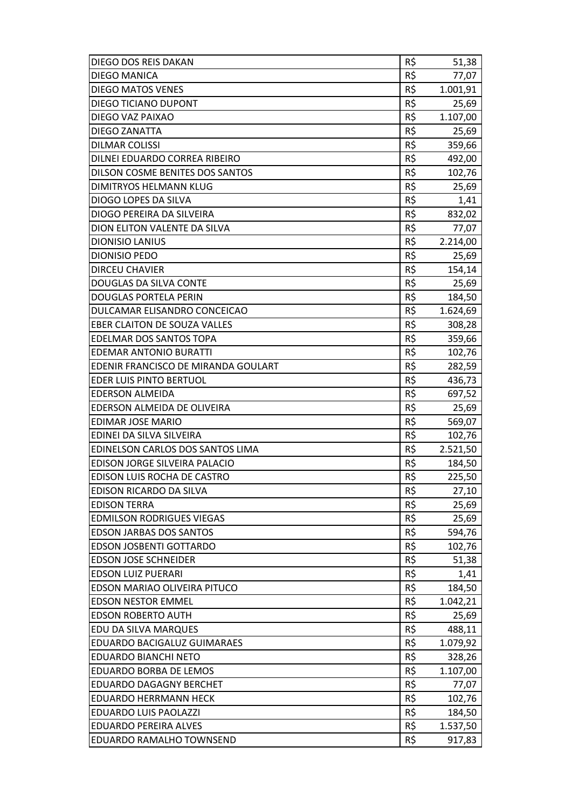| DIEGO DOS REIS DAKAN                   | R\$ | 51,38    |
|----------------------------------------|-----|----------|
| <b>DIEGO MANICA</b>                    | R\$ | 77,07    |
| <b>DIEGO MATOS VENES</b>               | R\$ | 1.001,91 |
| DIEGO TICIANO DUPONT                   | R\$ | 25,69    |
| DIEGO VAZ PAIXAO                       | R\$ | 1.107,00 |
| <b>DIEGO ZANATTA</b>                   | R\$ | 25,69    |
| <b>DILMAR COLISSI</b>                  | R\$ | 359,66   |
| DILNEI EDUARDO CORREA RIBEIRO          | R\$ | 492,00   |
| <b>DILSON COSME BENITES DOS SANTOS</b> | R\$ | 102,76   |
| DIMITRYOS HELMANN KLUG                 | R\$ | 25,69    |
| DIOGO LOPES DA SILVA                   | R\$ | 1,41     |
| DIOGO PEREIRA DA SILVEIRA              | R\$ | 832,02   |
| DION ELITON VALENTE DA SILVA           | R\$ | 77,07    |
| <b>DIONISIO LANIUS</b>                 | R\$ | 2.214,00 |
| <b>DIONISIO PEDO</b>                   | R\$ | 25,69    |
| <b>DIRCEU CHAVIER</b>                  | R\$ | 154,14   |
| DOUGLAS DA SILVA CONTE                 | R\$ | 25,69    |
| <b>DOUGLAS PORTELA PERIN</b>           | R\$ | 184,50   |
| DULCAMAR ELISANDRO CONCEICAO           | R\$ | 1.624,69 |
| <b>EBER CLAITON DE SOUZA VALLES</b>    | R\$ | 308,28   |
| <b>EDELMAR DOS SANTOS TOPA</b>         | R\$ | 359,66   |
| <b>EDEMAR ANTONIO BURATTI</b>          | R\$ | 102,76   |
| EDENIR FRANCISCO DE MIRANDA GOULART    | R\$ | 282,59   |
| EDER LUIS PINTO BERTUOL                | R\$ | 436,73   |
| <b>EDERSON ALMEIDA</b>                 | R\$ | 697,52   |
| EDERSON ALMEIDA DE OLIVEIRA            | R\$ | 25,69    |
| <b>EDIMAR JOSE MARIO</b>               | R\$ | 569,07   |
| EDINEI DA SILVA SILVEIRA               | R\$ | 102,76   |
| EDINELSON CARLOS DOS SANTOS LIMA       | R\$ | 2.521,50 |
| EDISON JORGE SILVEIRA PALACIO          | R\$ | 184,50   |
| EDISON LUIS ROCHA DE CASTRO            | R\$ | 225,50   |
| EDISON RICARDO DA SILVA                | R\$ | 27,10    |
| <b>EDISON TERRA</b>                    | R\$ | 25,69    |
| <b>EDMILSON RODRIGUES VIEGAS</b>       | R\$ | 25,69    |
| <b>EDSON JARBAS DOS SANTOS</b>         | R\$ | 594,76   |
| <b>EDSON JOSBENTI GOTTARDO</b>         | R\$ | 102,76   |
| <b>EDSON JOSE SCHNEIDER</b>            | R\$ | 51,38    |
| <b>EDSON LUIZ PUERARI</b>              | R\$ | 1,41     |
| EDSON MARIAO OLIVEIRA PITUCO           | R\$ | 184,50   |
| <b>EDSON NESTOR EMMEL</b>              | R\$ | 1.042,21 |
| <b>EDSON ROBERTO AUTH</b>              | R\$ | 25,69    |
| EDU DA SILVA MARQUES                   | R\$ | 488,11   |
| EDUARDO BACIGALUZ GUIMARAES            | R\$ | 1.079,92 |
| <b>EDUARDO BIANCHI NETO</b>            | R\$ | 328,26   |
| EDUARDO BORBA DE LEMOS                 | R\$ | 1.107,00 |
| EDUARDO DAGAGNY BERCHET                | R\$ | 77,07    |
| <b>EDUARDO HERRMANN HECK</b>           | R\$ | 102,76   |
| EDUARDO LUIS PAOLAZZI                  | R\$ | 184,50   |
| <b>EDUARDO PEREIRA ALVES</b>           | R\$ | 1.537,50 |
| EDUARDO RAMALHO TOWNSEND               | R\$ | 917,83   |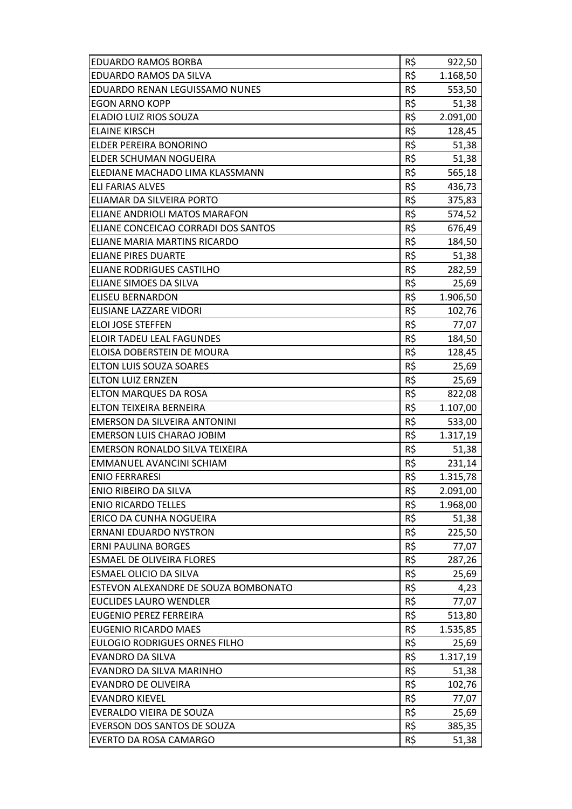| <b>EDUARDO RAMOS BORBA</b>           | R\$ | 922,50   |
|--------------------------------------|-----|----------|
| EDUARDO RAMOS DA SILVA               | R\$ | 1.168,50 |
| EDUARDO RENAN LEGUISSAMO NUNES       | R\$ | 553,50   |
| <b>EGON ARNO KOPP</b>                | R\$ | 51,38    |
| ELADIO LUIZ RIOS SOUZA               | R\$ | 2.091,00 |
| <b>ELAINE KIRSCH</b>                 | R\$ | 128,45   |
| <b>ELDER PEREIRA BONORINO</b>        | R\$ | 51,38    |
| <b>ELDER SCHUMAN NOGUEIRA</b>        | R\$ | 51,38    |
| ELEDIANE MACHADO LIMA KLASSMANN      | R\$ | 565,18   |
| ELI FARIAS ALVES                     | R\$ | 436,73   |
| ELIAMAR DA SILVEIRA PORTO            | R\$ | 375,83   |
| ELIANE ANDRIOLI MATOS MARAFON        | R\$ | 574,52   |
| ELIANE CONCEICAO CORRADI DOS SANTOS  | R\$ | 676,49   |
| ELIANE MARIA MARTINS RICARDO         | R\$ | 184,50   |
| <b>ELIANE PIRES DUARTE</b>           | R\$ | 51,38    |
| ELIANE RODRIGUES CASTILHO            | R\$ | 282,59   |
| ELIANE SIMOES DA SILVA               | R\$ | 25,69    |
| <b>ELISEU BERNARDON</b>              | R\$ | 1.906,50 |
| ELISIANE LAZZARE VIDORI              | R\$ | 102,76   |
| <b>ELOI JOSE STEFFEN</b>             | R\$ | 77,07    |
| ELOIR TADEU LEAL FAGUNDES            | R\$ | 184,50   |
| ELOISA DOBERSTEIN DE MOURA           | R\$ | 128,45   |
| ELTON LUIS SOUZA SOARES              | R\$ | 25,69    |
| <b>ELTON LUIZ ERNZEN</b>             | R\$ | 25,69    |
| <b>ELTON MARQUES DA ROSA</b>         | R\$ | 822,08   |
| ELTON TEIXEIRA BERNEIRA              | R\$ | 1.107,00 |
| EMERSON DA SILVEIRA ANTONINI         | R\$ | 533,00   |
| EMERSON LUIS CHARAO JOBIM            | R\$ | 1.317,19 |
| EMERSON RONALDO SILVA TEIXEIRA       | R\$ | 51,38    |
| EMMANUEL AVANCINI SCHIAM             | R\$ | 231,14   |
| <b>ENIO FERRARESI</b>                | R\$ | 1.315,78 |
| ENIO RIBEIRO DA SILVA                | R\$ | 2.091,00 |
| <b>ENIO RICARDO TELLES</b>           | R\$ | 1.968,00 |
| ERICO DA CUNHA NOGUEIRA              | R\$ | 51,38    |
| <b>ERNANI EDUARDO NYSTRON</b>        | R\$ | 225,50   |
| <b>ERNI PAULINA BORGES</b>           | R\$ | 77,07    |
| <b>ESMAEL DE OLIVEIRA FLORES</b>     | R\$ | 287,26   |
| <b>ESMAEL OLICIO DA SILVA</b>        | R\$ | 25,69    |
| ESTEVON ALEXANDRE DE SOUZA BOMBONATO | R\$ | 4,23     |
| <b>EUCLIDES LAURO WENDLER</b>        | R\$ | 77,07    |
| <b>EUGENIO PEREZ FERREIRA</b>        | R\$ | 513,80   |
| <b>EUGENIO RICARDO MAES</b>          | R\$ | 1.535,85 |
| <b>EULOGIO RODRIGUES ORNES FILHO</b> | R\$ | 25,69    |
| <b>EVANDRO DA SILVA</b>              | R\$ | 1.317,19 |
| EVANDRO DA SILVA MARINHO             | R\$ | 51,38    |
| <b>EVANDRO DE OLIVEIRA</b>           | R\$ | 102,76   |
| <b>EVANDRO KIEVEL</b>                | R\$ | 77,07    |
| EVERALDO VIEIRA DE SOUZA             | R\$ | 25,69    |
| EVERSON DOS SANTOS DE SOUZA          | R\$ | 385,35   |
| EVERTO DA ROSA CAMARGO               | R\$ | 51,38    |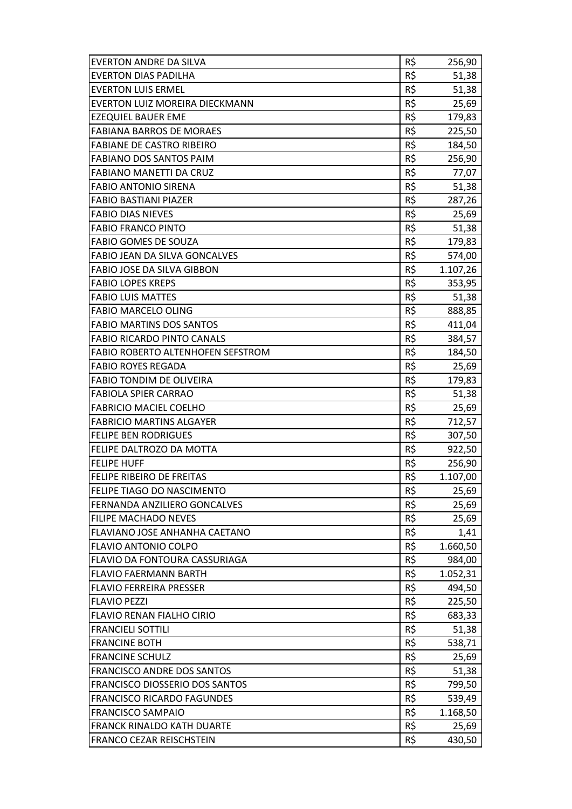| <b>EVERTON ANDRE DA SILVA</b>            | R\$ | 256,90   |
|------------------------------------------|-----|----------|
| <b>EVERTON DIAS PADILHA</b>              | R\$ | 51,38    |
| <b>EVERTON LUIS ERMEL</b>                | R\$ | 51,38    |
| EVERTON LUIZ MOREIRA DIECKMANN           | R\$ | 25,69    |
| <b>EZEQUIEL BAUER EME</b>                | R\$ | 179,83   |
| <b>FABIANA BARROS DE MORAES</b>          | R\$ | 225,50   |
| <b>FABIANE DE CASTRO RIBEIRO</b>         | R\$ | 184,50   |
| <b>FABIANO DOS SANTOS PAIM</b>           | R\$ | 256,90   |
| <b>FABIANO MANETTI DA CRUZ</b>           | R\$ | 77,07    |
| <b>FABIO ANTONIO SIRENA</b>              | R\$ | 51,38    |
| <b>FABIO BASTIANI PIAZER</b>             | R\$ | 287,26   |
| <b>FABIO DIAS NIEVES</b>                 | R\$ | 25,69    |
| <b>FABIO FRANCO PINTO</b>                | R\$ | 51,38    |
| <b>FABIO GOMES DE SOUZA</b>              | R\$ | 179,83   |
| <b>FABIO JEAN DA SILVA GONCALVES</b>     | R\$ | 574,00   |
| <b>FABIO JOSE DA SILVA GIBBON</b>        | R\$ | 1.107,26 |
| <b>FABIO LOPES KREPS</b>                 | R\$ | 353,95   |
| <b>FABIO LUIS MATTES</b>                 | R\$ | 51,38    |
| <b>FABIO MARCELO OLING</b>               | R\$ | 888,85   |
| <b>FABIO MARTINS DOS SANTOS</b>          | R\$ | 411,04   |
| <b>FABIO RICARDO PINTO CANALS</b>        | R\$ | 384,57   |
| <b>FABIO ROBERTO ALTENHOFEN SEFSTROM</b> | R\$ | 184,50   |
| <b>FABIO ROYES REGADA</b>                | R\$ | 25,69    |
| <b>FABIO TONDIM DE OLIVEIRA</b>          | R\$ | 179,83   |
| <b>FABIOLA SPIER CARRAO</b>              | R\$ | 51,38    |
| <b>FABRICIO MACIEL COELHO</b>            | R\$ | 25,69    |
| <b>FABRICIO MARTINS ALGAYER</b>          | R\$ | 712,57   |
| <b>FELIPE BEN RODRIGUES</b>              | R\$ | 307,50   |
| <b>FELIPE DALTROZO DA MOTTA</b>          | R\$ | 922,50   |
| <b>FELIPE HUFF</b>                       | R\$ | 256,90   |
| <b>FELIPE RIBEIRO DE FREITAS</b>         | R\$ | 1.107,00 |
| FELIPE TIAGO DO NASCIMENTO               | R\$ | 25,69    |
| <b>FERNANDA ANZILIERO GONCALVES</b>      | R\$ | 25,69    |
| <b>FILIPE MACHADO NEVES</b>              | R\$ | 25,69    |
| FLAVIANO JOSE ANHANHA CAETANO            | R\$ | 1,41     |
| <b>FLAVIO ANTONIO COLPO</b>              | R\$ | 1.660,50 |
| FLAVIO DA FONTOURA CASSURIAGA            | R\$ | 984,00   |
| <b>FLAVIO FAERMANN BARTH</b>             | R\$ | 1.052,31 |
| <b>FLAVIO FERREIRA PRESSER</b>           | R\$ | 494,50   |
| <b>FLAVIO PEZZI</b>                      | R\$ | 225,50   |
| <b>FLAVIO RENAN FIALHO CIRIO</b>         | R\$ | 683,33   |
| <b>FRANCIELI SOTTILI</b>                 | R\$ | 51,38    |
| <b>FRANCINE BOTH</b>                     | R\$ | 538,71   |
| <b>FRANCINE SCHULZ</b>                   | R\$ | 25,69    |
| <b>FRANCISCO ANDRE DOS SANTOS</b>        | R\$ | 51,38    |
| <b>FRANCISCO DIOSSERIO DOS SANTOS</b>    | R\$ | 799,50   |
| <b>FRANCISCO RICARDO FAGUNDES</b>        | R\$ | 539,49   |
| <b>FRANCISCO SAMPAIO</b>                 | R\$ | 1.168,50 |
| <b>FRANCK RINALDO KATH DUARTE</b>        | R\$ | 25,69    |
| <b>FRANCO CEZAR REISCHSTEIN</b>          | R\$ | 430,50   |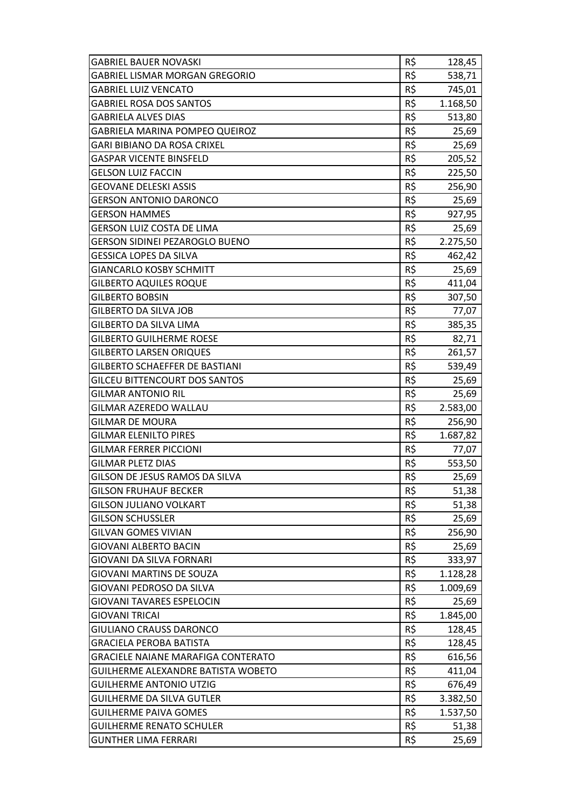| <b>GABRIEL BAUER NOVASKI</b>              | R\$ | 128,45   |
|-------------------------------------------|-----|----------|
| <b>GABRIEL LISMAR MORGAN GREGORIO</b>     | R\$ | 538,71   |
| <b>GABRIEL LUIZ VENCATO</b>               | R\$ | 745,01   |
| <b>GABRIEL ROSA DOS SANTOS</b>            | R\$ | 1.168,50 |
| <b>GABRIELA ALVES DIAS</b>                | R\$ | 513,80   |
| <b>GABRIELA MARINA POMPEO QUEIROZ</b>     | R\$ | 25,69    |
| <b>GARI BIBIANO DA ROSA CRIXEL</b>        | R\$ | 25,69    |
| <b>GASPAR VICENTE BINSFELD</b>            | R\$ | 205,52   |
| <b>GELSON LUIZ FACCIN</b>                 | R\$ | 225,50   |
| <b>GEOVANE DELESKI ASSIS</b>              | R\$ | 256,90   |
| <b>GERSON ANTONIO DARONCO</b>             | R\$ | 25,69    |
| <b>GERSON HAMMES</b>                      | R\$ | 927,95   |
| <b>GERSON LUIZ COSTA DE LIMA</b>          | R\$ | 25,69    |
| <b>GERSON SIDINEI PEZAROGLO BUENO</b>     | R\$ | 2.275,50 |
| <b>GESSICA LOPES DA SILVA</b>             | R\$ | 462,42   |
| <b>GIANCARLO KOSBY SCHMITT</b>            | R\$ | 25,69    |
| <b>GILBERTO AQUILES ROQUE</b>             | R\$ | 411,04   |
| <b>GILBERTO BOBSIN</b>                    | R\$ | 307,50   |
| <b>GILBERTO DA SILVA JOB</b>              | R\$ | 77,07    |
| <b>GILBERTO DA SILVA LIMA</b>             | R\$ | 385,35   |
| <b>GILBERTO GUILHERME ROESE</b>           | R\$ | 82,71    |
| <b>GILBERTO LARSEN ORIQUES</b>            | R\$ | 261,57   |
| <b>GILBERTO SCHAEFFER DE BASTIANI</b>     | R\$ | 539,49   |
| <b>GILCEU BITTENCOURT DOS SANTOS</b>      | R\$ | 25,69    |
| <b>GILMAR ANTONIO RIL</b>                 | R\$ | 25,69    |
| <b>GILMAR AZEREDO WALLAU</b>              | R\$ | 2.583,00 |
| <b>GILMAR DE MOURA</b>                    | R\$ | 256,90   |
| <b>GILMAR ELENILTO PIRES</b>              | R\$ | 1.687,82 |
| <b>GILMAR FERRER PICCIONI</b>             | R\$ | 77,07    |
| <b>GILMAR PLETZ DIAS</b>                  | R\$ | 553,50   |
| GILSON DE JESUS RAMOS DA SILVA            | R\$ | 25,69    |
| <b>GILSON FRUHAUF BECKER</b>              | R\$ | 51,38    |
| <b>GILSON JULIANO VOLKART</b>             | R\$ | 51,38    |
| <b>GILSON SCHUSSLER</b>                   | R\$ | 25,69    |
| <b>GILVAN GOMES VIVIAN</b>                | R\$ | 256,90   |
| <b>GIOVANI ALBERTO BACIN</b>              | R\$ | 25,69    |
| GIOVANI DA SILVA FORNARI                  | R\$ | 333,97   |
| GIOVANI MARTINS DE SOUZA                  | R\$ | 1.128,28 |
| GIOVANI PEDROSO DA SILVA                  | R\$ | 1.009,69 |
| <b>GIOVANI TAVARES ESPELOCIN</b>          | R\$ | 25,69    |
| <b>GIOVANI TRICAI</b>                     | R\$ | 1.845,00 |
| <b>GIULIANO CRAUSS DARONCO</b>            | R\$ | 128,45   |
| <b>GRACIELA PEROBA BATISTA</b>            | R\$ | 128,45   |
| <b>GRACIELE NAIANE MARAFIGA CONTERATO</b> | R\$ | 616,56   |
| GUILHERME ALEXANDRE BATISTA WOBETO        | R\$ | 411,04   |
| <b>GUILHERME ANTONIO UTZIG</b>            | R\$ | 676,49   |
| <b>GUILHERME DA SILVA GUTLER</b>          | R\$ | 3.382,50 |
| <b>GUILHERME PAIVA GOMES</b>              | R\$ | 1.537,50 |
| <b>GUILHERME RENATO SCHULER</b>           | R\$ | 51,38    |
| <b>GUNTHER LIMA FERRARI</b>               | R\$ | 25,69    |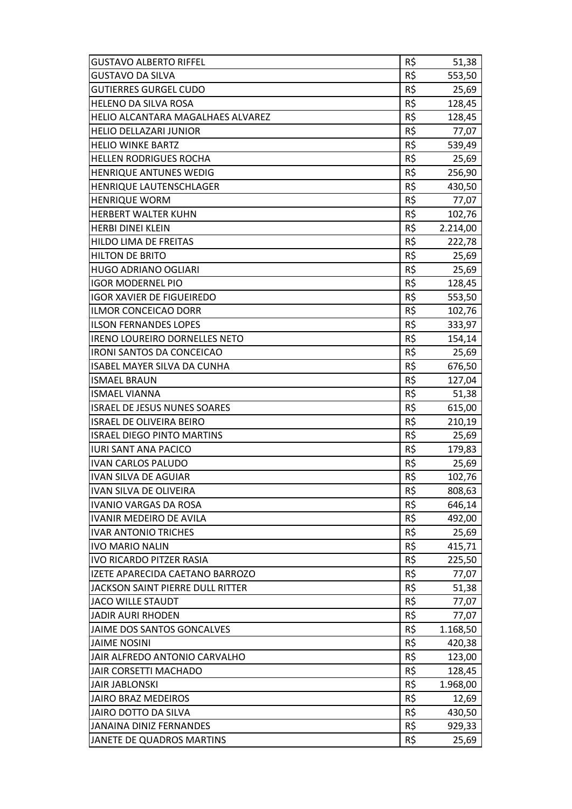| <b>GUSTAVO ALBERTO RIFFEL</b>            | R\$      | 51,38    |
|------------------------------------------|----------|----------|
| <b>GUSTAVO DA SILVA</b>                  | R\$      | 553,50   |
| <b>GUTIERRES GURGEL CUDO</b>             | R\$      | 25,69    |
| <b>HELENO DA SILVA ROSA</b>              | R\$      | 128,45   |
| <b>HELIO ALCANTARA MAGALHAES ALVAREZ</b> | R\$      | 128,45   |
| <b>HELIO DELLAZARI JUNIOR</b>            | R\$      | 77,07    |
| <b>HELIO WINKE BARTZ</b>                 | R\$      | 539,49   |
| <b>HELLEN RODRIGUES ROCHA</b>            | R\$      | 25,69    |
| <b>HENRIQUE ANTUNES WEDIG</b>            | R\$      | 256,90   |
| <b>HENRIQUE LAUTENSCHLAGER</b>           | R\$      | 430,50   |
| <b>HENRIQUE WORM</b>                     | R\$      | 77,07    |
| <b>HERBERT WALTER KUHN</b>               | R\$      | 102,76   |
| <b>HERBI DINEI KLEIN</b>                 | R\$      | 2.214,00 |
| <b>HILDO LIMA DE FREITAS</b>             | R\$      | 222,78   |
| <b>HILTON DE BRITO</b>                   | R\$      | 25,69    |
| <b>HUGO ADRIANO OGLIARI</b>              | R\$      | 25,69    |
| <b>IGOR MODERNEL PIO</b>                 | R\$      | 128,45   |
| <b>IGOR XAVIER DE FIGUEIREDO</b>         | R\$      | 553,50   |
| ILMOR CONCEICAO DORR                     | R\$      | 102,76   |
| <b>ILSON FERNANDES LOPES</b>             | R\$      | 333,97   |
| IRENO LOUREIRO DORNELLES NETO            | R\$      | 154,14   |
| <b>IRONI SANTOS DA CONCEICAO</b>         | R\$      | 25,69    |
| <b>ISABEL MAYER SILVA DA CUNHA</b>       | R\$      | 676,50   |
| <b>ISMAEL BRAUN</b>                      | R\$      | 127,04   |
| <b>ISMAEL VIANNA</b>                     | $R\zeta$ | 51,38    |
| <b>ISRAEL DE JESUS NUNES SOARES</b>      | R\$      | 615,00   |
| <b>ISRAEL DE OLIVEIRA BEIRO</b>          | R\$      | 210,19   |
| <b>ISRAEL DIEGO PINTO MARTINS</b>        | R\$      | 25,69    |
| <b>IURI SANT ANA PACICO</b>              | R\$      | 179,83   |
| <b>IVAN CARLOS PALUDO</b>                | R\$      | 25,69    |
| <b>IVAN SILVA DE AGUIAR</b>              | R\$      | 102,76   |
| IVAN SILVA DE OLIVEIRA                   | R\$      | 808,63   |
| <b>IVANIO VARGAS DA ROSA</b>             | R\$      | 646,14   |
| IVANIR MEDEIRO DE AVILA                  | R\$      | 492,00   |
| <b>IVAR ANTONIO TRICHES</b>              | R\$      | 25,69    |
| <b>IVO MARIO NALIN</b>                   | R\$      | 415,71   |
| <b>IVO RICARDO PITZER RASIA</b>          | R\$      | 225,50   |
| IZETE APARECIDA CAETANO BARROZO          | R\$      | 77,07    |
| JACKSON SAINT PIERRE DULL RITTER         | R\$      | 51,38    |
| <b>JACO WILLE STAUDT</b>                 | R\$      | 77,07    |
| <b>JADIR AURI RHODEN</b>                 | R\$      | 77,07    |
| JAIME DOS SANTOS GONCALVES               | R\$      | 1.168,50 |
| <b>JAIME NOSINI</b>                      | R\$      | 420,38   |
| JAIR ALFREDO ANTONIO CARVALHO            | R\$      | 123,00   |
| JAIR CORSETTI MACHADO                    | R\$      | 128,45   |
| <b>JAIR JABLONSKI</b>                    | R\$      | 1.968,00 |
| <b>JAIRO BRAZ MEDEIROS</b>               | R\$      | 12,69    |
| JAIRO DOTTO DA SILVA                     | R\$      | 430,50   |
| JANAINA DINIZ FERNANDES                  | R\$      | 929,33   |
| JANETE DE QUADROS MARTINS                | R\$      | 25,69    |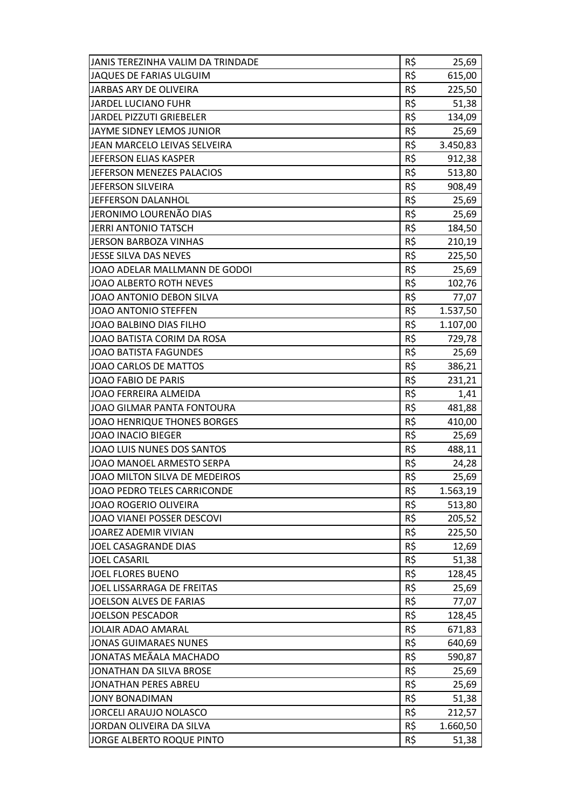| JANIS TEREZINHA VALIM DA TRINDADE  | R\$ | 25,69    |
|------------------------------------|-----|----------|
| JAQUES DE FARIAS ULGUIM            | R\$ | 615,00   |
| JARBAS ARY DE OLIVEIRA             | R\$ | 225,50   |
| <b>JARDEL LUCIANO FUHR</b>         | R\$ | 51,38    |
| <b>JARDEL PIZZUTI GRIEBELER</b>    | R\$ | 134,09   |
| JAYME SIDNEY LEMOS JUNIOR          | R\$ | 25,69    |
| JEAN MARCELO LEIVAS SELVEIRA       | R\$ | 3.450,83 |
| JEFERSON ELIAS KASPER              | R\$ | 912,38   |
| JEFERSON MENEZES PALACIOS          | R\$ | 513,80   |
| <b>JEFERSON SILVEIRA</b>           | R\$ | 908,49   |
| JEFFERSON DALANHOL                 | R\$ | 25,69    |
| JERONIMO LOURENÃO DIAS             | R\$ | 25,69    |
| JERRI ANTONIO TATSCH               | R\$ | 184,50   |
| <b>JERSON BARBOZA VINHAS</b>       | R\$ | 210,19   |
| JESSE SILVA DAS NEVES              | R\$ | 225,50   |
| JOAO ADELAR MALLMANN DE GODOI      | R\$ | 25,69    |
| JOAO ALBERTO ROTH NEVES            | R\$ | 102,76   |
| JOAO ANTONIO DEBON SILVA           | R\$ | 77,07    |
| JOAO ANTONIO STEFFEN               | R\$ | 1.537,50 |
| JOAO BALBINO DIAS FILHO            | R\$ | 1.107,00 |
| JOAO BATISTA CORIM DA ROSA         | R\$ | 729,78   |
| <b>JOAO BATISTA FAGUNDES</b>       | R\$ | 25,69    |
| JOAO CARLOS DE MATTOS              | R\$ | 386,21   |
| <b>JOAO FABIO DE PARIS</b>         | R\$ | 231,21   |
| <b>JOAO FERREIRA ALMEIDA</b>       | R\$ | 1,41     |
| JOAO GILMAR PANTA FONTOURA         | R\$ | 481,88   |
| <b>JOAO HENRIQUE THONES BORGES</b> | R\$ | 410,00   |
| <b>JOAO INACIO BIEGER</b>          | R\$ | 25,69    |
| JOAO LUIS NUNES DOS SANTOS         | R\$ | 488,11   |
| JOAO MANOEL ARMESTO SERPA          | R\$ | 24,28    |
| JOAO MILTON SILVA DE MEDEIROS      | R\$ | 25,69    |
| JOAO PEDRO TELES CARRICONDE        | R\$ | 1.563,19 |
| JOAO ROGERIO OLIVEIRA              | R\$ | 513,80   |
| JOAO VIANEI POSSER DESCOVI         | R\$ | 205,52   |
| JOAREZ ADEMIR VIVIAN               | R\$ | 225,50   |
| JOEL CASAGRANDE DIAS               | R\$ | 12,69    |
| <b>JOEL CASARIL</b>                | R\$ | 51,38    |
| <b>JOEL FLORES BUENO</b>           | R\$ | 128,45   |
| JOEL LISSARRAGA DE FREITAS         | R\$ | 25,69    |
| <b>JOELSON ALVES DE FARIAS</b>     | R\$ | 77,07    |
| <b>JOELSON PESCADOR</b>            | R\$ | 128,45   |
| <b>JOLAIR ADAO AMARAL</b>          | R\$ | 671,83   |
| <b>JONAS GUIMARAES NUNES</b>       | R\$ | 640,69   |
| JONATAS MEÃALA MACHADO             | R\$ | 590,87   |
| JONATHAN DA SILVA BROSE            | R\$ | 25,69    |
| <b>JONATHAN PERES ABREU</b>        | R\$ | 25,69    |
| <b>JONY BONADIMAN</b>              | R\$ | 51,38    |
| <b>JORCELI ARAUJO NOLASCO</b>      | R\$ | 212,57   |
| JORDAN OLIVEIRA DA SILVA           | R\$ | 1.660,50 |
| JORGE ALBERTO ROQUE PINTO          | R\$ | 51,38    |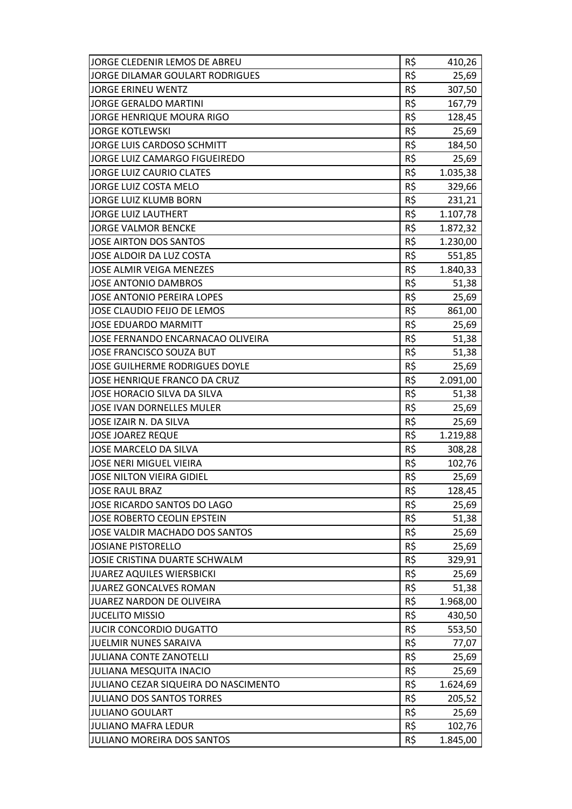| JORGE CLEDENIR LEMOS DE ABREU        | R\$ | 410,26   |
|--------------------------------------|-----|----------|
| JORGE DILAMAR GOULART RODRIGUES      | R\$ | 25,69    |
| <b>JORGE ERINEU WENTZ</b>            | R\$ | 307,50   |
| <b>JORGE GERALDO MARTINI</b>         | R\$ | 167,79   |
| <b>JORGE HENRIQUE MOURA RIGO</b>     | R\$ | 128,45   |
| <b>JORGE KOTLEWSKI</b>               | R\$ | 25,69    |
| JORGE LUIS CARDOSO SCHMITT           | R\$ | 184,50   |
| JORGE LUIZ CAMARGO FIGUEIREDO        | R\$ | 25,69    |
| <b>JORGE LUIZ CAURIO CLATES</b>      | R\$ | 1.035,38 |
| JORGE LUIZ COSTA MELO                | R\$ | 329,66   |
| <b>JORGE LUIZ KLUMB BORN</b>         | R\$ | 231,21   |
| <b>JORGE LUIZ LAUTHERT</b>           | R\$ | 1.107,78 |
| <b>JORGE VALMOR BENCKE</b>           | R\$ | 1.872,32 |
| <b>JOSE AIRTON DOS SANTOS</b>        | R\$ | 1.230,00 |
| JOSE ALDOIR DA LUZ COSTA             | R\$ | 551,85   |
| <b>JOSE ALMIR VEIGA MENEZES</b>      | R\$ | 1.840,33 |
| <b>JOSE ANTONIO DAMBROS</b>          | R\$ | 51,38    |
| <b>JOSE ANTONIO PEREIRA LOPES</b>    | R\$ | 25,69    |
| JOSE CLAUDIO FEIJO DE LEMOS          | R\$ | 861,00   |
| <b>JOSE EDUARDO MARMITT</b>          | R\$ | 25,69    |
| JOSE FERNANDO ENCARNACAO OLIVEIRA    | R\$ | 51,38    |
| JOSE FRANCISCO SOUZA BUT             | R\$ | 51,38    |
| JOSE GUILHERME RODRIGUES DOYLE       | R\$ | 25,69    |
| JOSE HENRIQUE FRANCO DA CRUZ         | R\$ | 2.091,00 |
| JOSE HORACIO SILVA DA SILVA          | R\$ | 51,38    |
| JOSE IVAN DORNELLES MULER            | R\$ | 25,69    |
| JOSE IZAIR N. DA SILVA               | R\$ | 25,69    |
| <b>JOSE JOAREZ REQUE</b>             | R\$ | 1.219,88 |
| <b>JOSE MARCELO DA SILVA</b>         | R\$ | 308,28   |
| <b>JOSE NERI MIGUEL VIEIRA</b>       | R\$ | 102,76   |
| <b>JOSE NILTON VIEIRA GIDIEL</b>     | R\$ | 25,69    |
| <b>JOSE RAUL BRAZ</b>                | R\$ | 128,45   |
| JOSE RICARDO SANTOS DO LAGO          | R\$ | 25,69    |
| JOSE ROBERTO CEOLIN EPSTEIN          | R\$ | 51,38    |
| JOSE VALDIR MACHADO DOS SANTOS       | R\$ | 25,69    |
| <b>JOSIANE PISTORELLO</b>            | R\$ | 25,69    |
| JOSIE CRISTINA DUARTE SCHWALM        | R\$ | 329,91   |
| <b>JUAREZ AQUILES WIERSBICKI</b>     | R\$ | 25,69    |
| JUAREZ GONCALVES ROMAN               | R\$ | 51,38    |
| JUAREZ NARDON DE OLIVEIRA            | R\$ | 1.968,00 |
| <b>JUCELITO MISSIO</b>               | R\$ | 430,50   |
| JUCIR CONCORDIO DUGATTO              | R\$ | 553,50   |
| JUELMIR NUNES SARAIVA                | R\$ | 77,07    |
| JULIANA CONTE ZANOTELLI              | R\$ | 25,69    |
| JULIANA MESQUITA INACIO              | R\$ | 25,69    |
| JULIANO CEZAR SIQUEIRA DO NASCIMENTO | R\$ | 1.624,69 |
| <b>JULIANO DOS SANTOS TORRES</b>     | R\$ | 205,52   |
| <b>JULIANO GOULART</b>               | R\$ | 25,69    |
| JULIANO MAFRA LEDUR                  | R\$ | 102,76   |
| JULIANO MOREIRA DOS SANTOS           | R\$ | 1.845,00 |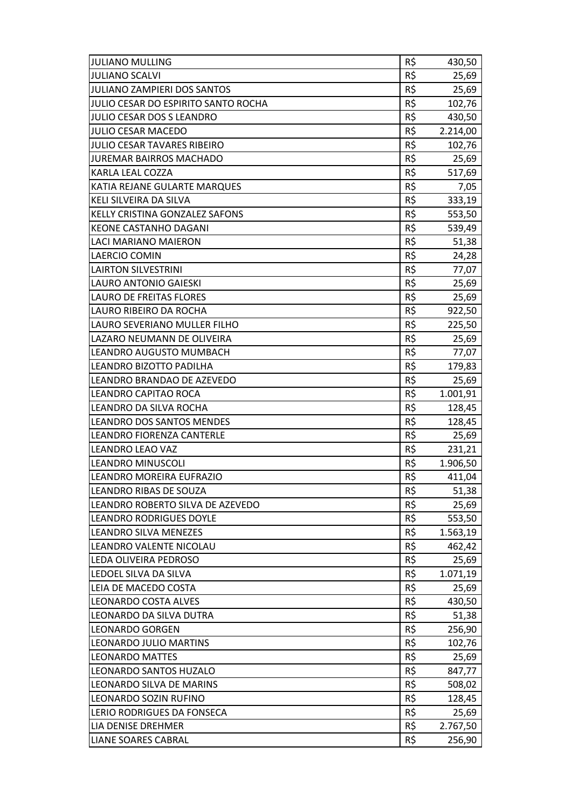| <b>JULIANO MULLING</b>                | R\$ | 430,50   |
|---------------------------------------|-----|----------|
| <b>JULIANO SCALVI</b>                 | R\$ | 25,69    |
| JULIANO ZAMPIERI DOS SANTOS           | R\$ | 25,69    |
| JULIO CESAR DO ESPIRITO SANTO ROCHA   | R\$ | 102,76   |
| JULIO CESAR DOS S LEANDRO             | R\$ | 430,50   |
| JULIO CESAR MACEDO                    | R\$ | 2.214,00 |
| JULIO CESAR TAVARES RIBEIRO           | R\$ | 102,76   |
| <b>JUREMAR BAIRROS MACHADO</b>        | R\$ | 25,69    |
| <b>KARLA LEAL COZZA</b>               | R\$ | 517,69   |
| KATIA REJANE GULARTE MARQUES          | R\$ | 7,05     |
| <b>KELI SILVEIRA DA SILVA</b>         | R\$ | 333,19   |
| <b>KELLY CRISTINA GONZALEZ SAFONS</b> | R\$ | 553,50   |
| <b>KEONE CASTANHO DAGANI</b>          | R\$ | 539,49   |
| <b>LACI MARIANO MAIERON</b>           | R\$ | 51,38    |
| <b>LAERCIO COMIN</b>                  | R\$ | 24,28    |
| <b>LAIRTON SILVESTRINI</b>            | R\$ | 77,07    |
| <b>LAURO ANTONIO GAIESKI</b>          | R\$ | 25,69    |
| <b>LAURO DE FREITAS FLORES</b>        | R\$ | 25,69    |
| LAURO RIBEIRO DA ROCHA                | R\$ | 922,50   |
| LAURO SEVERIANO MULLER FILHO          | R\$ | 225,50   |
| LAZARO NEUMANN DE OLIVEIRA            | R\$ | 25,69    |
| LEANDRO AUGUSTO MUMBACH               | R\$ | 77,07    |
| LEANDRO BIZOTTO PADILHA               | R\$ | 179,83   |
| LEANDRO BRANDAO DE AZEVEDO            | R\$ | 25,69    |
| LEANDRO CAPITAO ROCA                  | R\$ | 1.001,91 |
| LEANDRO DA SILVA ROCHA                | R\$ | 128,45   |
| <b>LEANDRO DOS SANTOS MENDES</b>      | R\$ | 128,45   |
| LEANDRO FIORENZA CANTERLE             | R\$ | 25,69    |
| LEANDRO LEAO VAZ                      | R\$ | 231,21   |
| LEANDRO MINUSCOLI                     | R\$ | 1.906,50 |
| LEANDRO MOREIRA EUFRAZIO              | R\$ | 411,04   |
| <b>LEANDRO RIBAS DE SOUZA</b>         | R\$ | 51,38    |
| LEANDRO ROBERTO SILVA DE AZEVEDO      | R\$ | 25,69    |
| <b>LEANDRO RODRIGUES DOYLE</b>        | R\$ | 553,50   |
| <b>LEANDRO SILVA MENEZES</b>          | R\$ | 1.563,19 |
| LEANDRO VALENTE NICOLAU               | R\$ | 462,42   |
| LEDA OLIVEIRA PEDROSO                 | R\$ | 25,69    |
| LEDOEL SILVA DA SILVA                 | R\$ | 1.071,19 |
| LEIA DE MACEDO COSTA                  | R\$ | 25,69    |
| <b>LEONARDO COSTA ALVES</b>           | R\$ | 430,50   |
| LEONARDO DA SILVA DUTRA               | R\$ | 51,38    |
| <b>LEONARDO GORGEN</b>                | R\$ | 256,90   |
| LEONARDO JULIO MARTINS                | R\$ | 102,76   |
| <b>LEONARDO MATTES</b>                | R\$ | 25,69    |
| LEONARDO SANTOS HUZALO                | R\$ | 847,77   |
| LEONARDO SILVA DE MARINS              | R\$ | 508,02   |
| LEONARDO SOZIN RUFINO                 | R\$ | 128,45   |
| LERIO RODRIGUES DA FONSECA            | R\$ | 25,69    |
| <b>LIA DENISE DREHMER</b>             | R\$ | 2.767,50 |
| <b>LIANE SOARES CABRAL</b>            | R\$ | 256,90   |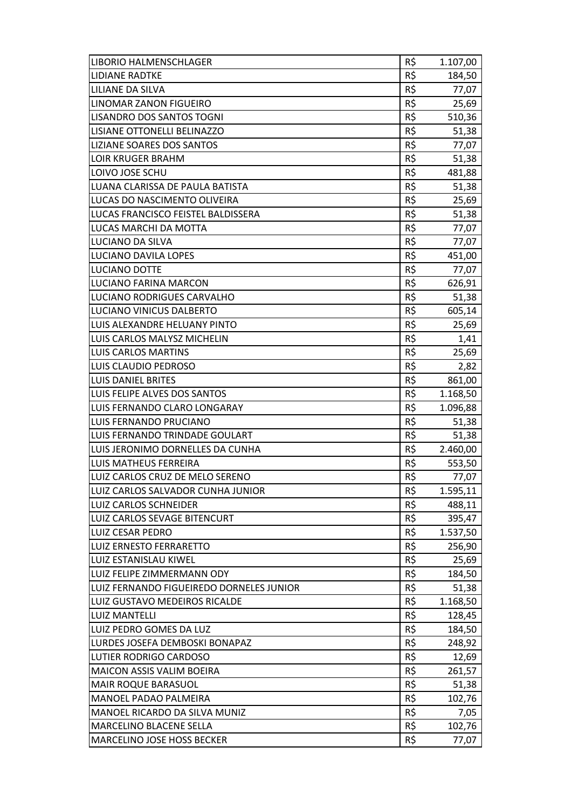| <b>LIBORIO HALMENSCHLAGER</b>            | R\$ | 1.107,00 |
|------------------------------------------|-----|----------|
| <b>LIDIANE RADTKE</b>                    | R\$ | 184,50   |
| <b>LILIANE DA SILVA</b>                  | R\$ | 77,07    |
| <b>LINOMAR ZANON FIGUEIRO</b>            | R\$ | 25,69    |
| <b>LISANDRO DOS SANTOS TOGNI</b>         | R\$ | 510,36   |
| LISIANE OTTONELLI BELINAZZO              | R\$ | 51,38    |
| <b>LIZIANE SOARES DOS SANTOS</b>         | R\$ | 77,07    |
| LOIR KRUGER BRAHM                        | R\$ | 51,38    |
| LOIVO JOSE SCHU                          | R\$ | 481,88   |
| LUANA CLARISSA DE PAULA BATISTA          | R\$ | 51,38    |
| LUCAS DO NASCIMENTO OLIVEIRA             | R\$ | 25,69    |
| LUCAS FRANCISCO FEISTEL BALDISSERA       | R\$ | 51,38    |
| LUCAS MARCHI DA MOTTA                    | R\$ | 77,07    |
| LUCIANO DA SILVA                         | R\$ | 77,07    |
| LUCIANO DAVILA LOPES                     | R\$ | 451,00   |
| LUCIANO DOTTE                            | R\$ | 77,07    |
| LUCIANO FARINA MARCON                    | R\$ | 626,91   |
| LUCIANO RODRIGUES CARVALHO               | R\$ | 51,38    |
| LUCIANO VINICUS DALBERTO                 | R\$ | 605,14   |
| LUIS ALEXANDRE HELUANY PINTO             | R\$ | 25,69    |
| LUIS CARLOS MALYSZ MICHELIN              | R\$ | 1,41     |
| <b>LUIS CARLOS MARTINS</b>               | R\$ | 25,69    |
| LUIS CLAUDIO PEDROSO                     | R\$ | 2,82     |
| <b>LUIS DANIEL BRITES</b>                | R\$ | 861,00   |
| LUIS FELIPE ALVES DOS SANTOS             | R\$ | 1.168,50 |
| LUIS FERNANDO CLARO LONGARAY             | R\$ | 1.096,88 |
| LUIS FERNANDO PRUCIANO                   | R\$ | 51,38    |
| LUIS FERNANDO TRINDADE GOULART           | R\$ | 51,38    |
| LUIS JERONIMO DORNELLES DA CUNHA         | R\$ | 2.460,00 |
| LUIS MATHEUS FERREIRA                    | R\$ | 553,50   |
| LUIZ CARLOS CRUZ DE MELO SERENO          | R\$ | 77,07    |
| LUIZ CARLOS SALVADOR CUNHA JUNIOR        | R\$ | 1.595,11 |
| <b>LUIZ CARLOS SCHNEIDER</b>             | R\$ | 488,11   |
| <b>LUIZ CARLOS SEVAGE BITENCURT</b>      | R\$ | 395,47   |
| <b>LUIZ CESAR PEDRO</b>                  | R\$ | 1.537,50 |
| LUIZ ERNESTO FERRARETTO                  | R\$ | 256,90   |
| LUIZ ESTANISLAU KIWEL                    | R\$ | 25,69    |
| LUIZ FELIPE ZIMMERMANN ODY               | R\$ | 184,50   |
| LUIZ FERNANDO FIGUEIREDO DORNELES JUNIOR | R\$ | 51,38    |
| LUIZ GUSTAVO MEDEIROS RICALDE            | R\$ | 1.168,50 |
| <b>LUIZ MANTELLI</b>                     | R\$ | 128,45   |
| LUIZ PEDRO GOMES DA LUZ                  | R\$ | 184,50   |
| LURDES JOSEFA DEMBOSKI BONAPAZ           | R\$ | 248,92   |
| <b>LUTIER RODRIGO CARDOSO</b>            | R\$ | 12,69    |
| <b>MAICON ASSIS VALIM BOEIRA</b>         | R\$ | 261,57   |
| <b>MAIR ROQUE BARASUOL</b>               | R\$ | 51,38    |
| <b>MANOEL PADAO PALMEIRA</b>             | R\$ | 102,76   |
| MANOEL RICARDO DA SILVA MUNIZ            | R\$ | 7,05     |
| <b>MARCELINO BLACENE SELLA</b>           | R\$ | 102,76   |
| MARCELINO JOSE HOSS BECKER               | R\$ | 77,07    |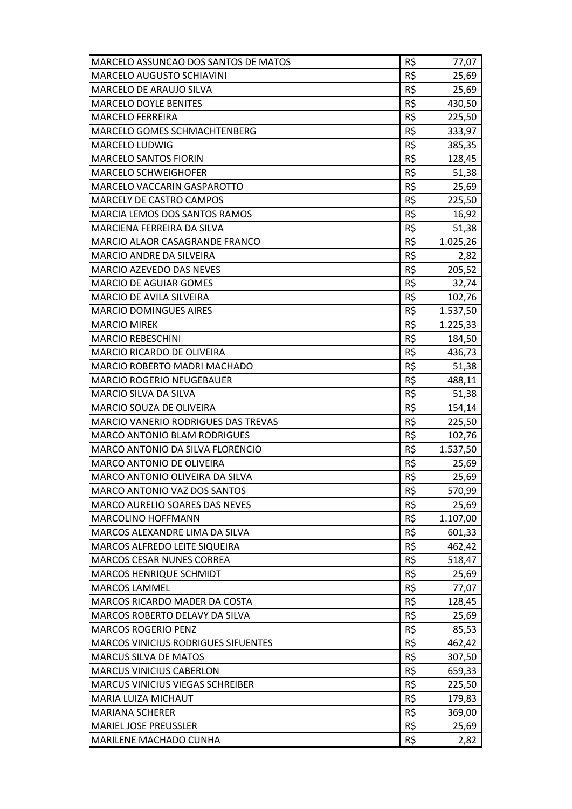| MARCELO ASSUNCAO DOS SANTOS DE MATOS       | R\$ | 77,07    |
|--------------------------------------------|-----|----------|
| <b>MARCELO AUGUSTO SCHIAVINI</b>           | R\$ | 25,69    |
| <b>MARCELO DE ARAUJO SILVA</b>             | R\$ | 25,69    |
| <b>MARCELO DOYLE BENITES</b>               | R\$ | 430,50   |
| <b>MARCELO FERREIRA</b>                    | R\$ | 225,50   |
| <b>MARCELO GOMES SCHMACHTENBERG</b>        | R\$ | 333,97   |
| <b>MARCELO LUDWIG</b>                      | R\$ | 385,35   |
| <b>MARCELO SANTOS FIORIN</b>               | R\$ | 128,45   |
| <b>MARCELO SCHWEIGHOFER</b>                | R\$ | 51,38    |
| <b>MARCELO VACCARIN GASPAROTTO</b>         | R\$ | 25,69    |
| <b>MARCELY DE CASTRO CAMPOS</b>            | R\$ | 225,50   |
| <b>MARCIA LEMOS DOS SANTOS RAMOS</b>       | R\$ | 16,92    |
| MARCIENA FERREIRA DA SILVA                 | R\$ | 51,38    |
| MARCIO ALAOR CASAGRANDE FRANCO             | R\$ | 1.025,26 |
| <b>MARCIO ANDRE DA SILVEIRA</b>            | R\$ | 2,82     |
| MARCIO AZEVEDO DAS NEVES                   | R\$ | 205,52   |
| <b>MARCIO DE AGUIAR GOMES</b>              | R\$ | 32,74    |
| <b>MARCIO DE AVILA SILVEIRA</b>            | R\$ | 102,76   |
| <b>MARCIO DOMINGUES AIRES</b>              | R\$ | 1.537,50 |
| <b>MARCIO MIREK</b>                        | R\$ | 1.225,33 |
| <b>MARCIO REBESCHINI</b>                   | R\$ | 184,50   |
| <b>MARCIO RICARDO DE OLIVEIRA</b>          | R\$ | 436,73   |
| <b>MARCIO ROBERTO MADRI MACHADO</b>        | R\$ | 51,38    |
| <b>MARCIO ROGERIO NEUGEBAUER</b>           | R\$ | 488,11   |
| <b>MARCIO SILVA DA SILVA</b>               | R\$ | 51,38    |
| <b>MARCIO SOUZA DE OLIVEIRA</b>            | R\$ | 154,14   |
| <b>MARCIO VANERIO RODRIGUES DAS TREVAS</b> | R\$ | 225,50   |
| <b>MARCO ANTONIO BLAM RODRIGUES</b>        | R\$ | 102,76   |
| MARCO ANTONIO DA SILVA FLORENCIO           | R\$ | 1.537,50 |
| <b>MARCO ANTONIO DE OLIVEIRA</b>           | R\$ | 25,69    |
| MARCO ANTONIO OLIVEIRA DA SILVA            | R\$ | 25,69    |
| MARCO ANTONIO VAZ DOS SANTOS               | R\$ | 570,99   |
| <b>MARCO AURELIO SOARES DAS NEVES</b>      | R\$ | 25,69    |
| <b>MARCOLINO HOFFMANN</b>                  | R\$ | 1.107,00 |
| MARCOS ALEXANDRE LIMA DA SILVA             | R\$ | 601,33   |
| MARCOS ALFREDO LEITE SIQUEIRA              | R\$ | 462,42   |
| <b>MARCOS CESAR NUNES CORREA</b>           | R\$ | 518,47   |
| <b>MARCOS HENRIQUE SCHMIDT</b>             | R\$ | 25,69    |
| <b>MARCOS LAMMEL</b>                       | R\$ | 77,07    |
| MARCOS RICARDO MADER DA COSTA              | R\$ | 128,45   |
| MARCOS ROBERTO DELAVY DA SILVA             | R\$ | 25,69    |
| <b>MARCOS ROGERIO PENZ</b>                 | R\$ | 85,53    |
| <b>MARCOS VINICIUS RODRIGUES SIFUENTES</b> | R\$ | 462,42   |
| <b>MARCUS SILVA DE MATOS</b>               | R\$ | 307,50   |
| <b>MARCUS VINICIUS CABERLON</b>            | R\$ | 659,33   |
| <b>MARCUS VINICIUS VIEGAS SCHREIBER</b>    | R\$ | 225,50   |
| <b>MARIA LUIZA MICHAUT</b>                 | R\$ | 179,83   |
| <b>MARIANA SCHERER</b>                     | R\$ | 369,00   |
| <b>MARIEL JOSE PREUSSLER</b>               | R\$ | 25,69    |
| <b>MARILENE MACHADO CUNHA</b>              | R\$ | 2,82     |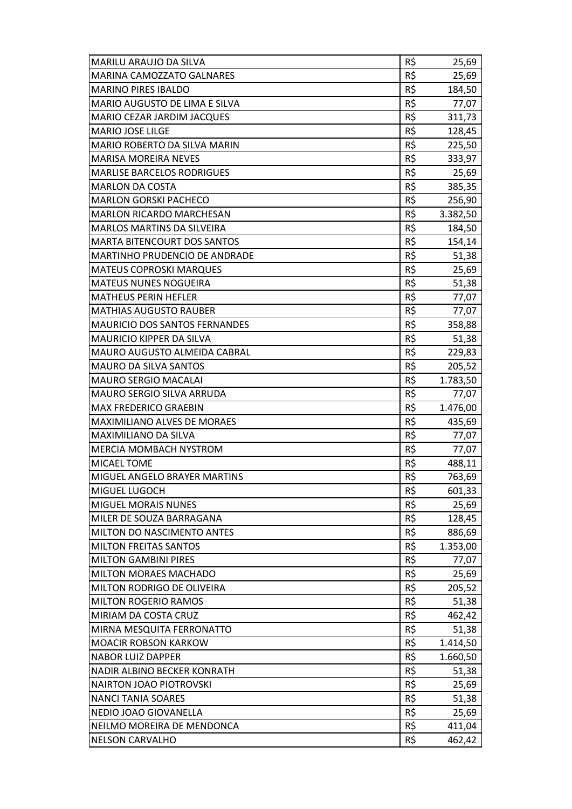| <b>MARINA CAMOZZATO GALNARES</b><br>R\$<br>25,69<br>R\$<br><b>MARINO PIRES IBALDO</b><br>184,50<br><b>MARIO AUGUSTO DE LIMA E SILVA</b><br>R\$<br>77,07<br>R\$<br><b>MARIO CEZAR JARDIM JACQUES</b><br>311,73<br>R\$<br><b>MARIO JOSE LILGE</b><br>128,45<br>MARIO ROBERTO DA SILVA MARIN<br>R\$<br>225,50<br>R\$<br><b>MARISA MOREIRA NEVES</b><br>333,97<br><b>MARLISE BARCELOS RODRIGUES</b><br>R\$<br>25,69<br>R\$<br><b>MARLON DA COSTA</b><br>385,35<br>R\$<br><b>MARLON GORSKI PACHECO</b><br>256,90<br><b>MARLON RICARDO MARCHESAN</b><br>R\$<br>3.382,50<br>R\$<br>MARLOS MARTINS DA SILVEIRA<br>184,50<br><b>MARTA BITENCOURT DOS SANTOS</b><br>R\$<br>154,14<br>R\$<br>MARTINHO PRUDENCIO DE ANDRADE<br>51,38<br>R\$<br><b>MATEUS COPROSKI MARQUES</b><br>25,69<br><b>MATEUS NUNES NOGUEIRA</b><br>R\$<br>51,38<br>R\$<br><b>MATHEUS PERIN HEFLER</b><br>77,07<br>R\$<br><b>MATHIAS AUGUSTO RAUBER</b><br>77,07<br>R\$<br><b>MAURICIO DOS SANTOS FERNANDES</b><br>358,88<br>R\$<br><b>MAURICIO KIPPER DA SILVA</b><br>51,38<br><b>MAURO AUGUSTO ALMEIDA CABRAL</b><br>R\$<br>229,83<br>R\$<br><b>MAURO DA SILVA SANTOS</b><br>205,52<br>R\$<br><b>MAURO SERGIO MACALAI</b><br>1.783,50<br>$R\zeta$<br><b>MAURO SERGIO SILVA ARRUDA</b><br>77,07<br><b>MAX FREDERICO GRAEBIN</b><br>R\$<br>1.476,00<br><b>MAXIMILIANO ALVES DE MORAES</b><br>R\$<br>435,69<br>R\$<br><b>MAXIMILIANO DA SILVA</b><br>77,07<br>R\$<br><b>MERCIA MOMBACH NYSTROM</b><br>77,07<br>R\$<br><b>MICAEL TOME</b><br>488,11<br>R\$<br>MIGUEL ANGELO BRAYER MARTINS<br>763,69<br>MIGUEL LUGOCH<br>R\$<br>601,33<br>R\$<br><b>MIGUEL MORAIS NUNES</b><br>25,69<br>R\$<br>MILER DE SOUZA BARRAGANA<br>128,45<br>R\$<br><b>MILTON DO NASCIMENTO ANTES</b><br>886,69<br>R\$<br><b>MILTON FREITAS SANTOS</b><br>1.353,00<br>R\$<br><b>MILTON GAMBINI PIRES</b><br>77,07<br>R\$<br><b>MILTON MORAES MACHADO</b><br>25,69<br>R\$<br><b>MILTON RODRIGO DE OLIVEIRA</b><br>205,52<br>R\$<br><b>MILTON ROGERIO RAMOS</b><br>51,38<br>MIRIAM DA COSTA CRUZ<br>R\$<br>462,42<br>R\$<br>MIRNA MESQUITA FERRONATTO<br>51,38<br>R\$<br><b>MOACIR ROBSON KARKOW</b><br>1.414,50<br><b>NABOR LUIZ DAPPER</b><br>R\$<br>1.660,50<br>R\$<br>51,38<br><b>NADIR ALBINO BECKER KONRATH</b><br>R\$<br>NAIRTON JOAO PIOTROVSKI<br>25,69<br>R\$<br><b>NANCI TANIA SOARES</b><br>51,38<br>R\$<br>NEDIO JOAO GIOVANELLA<br>25,69<br>NEILMO MOREIRA DE MENDONCA<br>R\$<br>411,04<br>R\$<br>462,42<br><b>NELSON CARVALHO</b> | MARILU ARAUJO DA SILVA | R\$ | 25,69 |
|--------------------------------------------------------------------------------------------------------------------------------------------------------------------------------------------------------------------------------------------------------------------------------------------------------------------------------------------------------------------------------------------------------------------------------------------------------------------------------------------------------------------------------------------------------------------------------------------------------------------------------------------------------------------------------------------------------------------------------------------------------------------------------------------------------------------------------------------------------------------------------------------------------------------------------------------------------------------------------------------------------------------------------------------------------------------------------------------------------------------------------------------------------------------------------------------------------------------------------------------------------------------------------------------------------------------------------------------------------------------------------------------------------------------------------------------------------------------------------------------------------------------------------------------------------------------------------------------------------------------------------------------------------------------------------------------------------------------------------------------------------------------------------------------------------------------------------------------------------------------------------------------------------------------------------------------------------------------------------------------------------------------------------------------------------------------------------------------------------------------------------------------------------------------------------------------------------------------------------------------------------------------------------------------------------------------------------------------------------------------------------------------------------------------------------------------------------------------------------|------------------------|-----|-------|
|                                                                                                                                                                                                                                                                                                                                                                                                                                                                                                                                                                                                                                                                                                                                                                                                                                                                                                                                                                                                                                                                                                                                                                                                                                                                                                                                                                                                                                                                                                                                                                                                                                                                                                                                                                                                                                                                                                                                                                                                                                                                                                                                                                                                                                                                                                                                                                                                                                                                                |                        |     |       |
|                                                                                                                                                                                                                                                                                                                                                                                                                                                                                                                                                                                                                                                                                                                                                                                                                                                                                                                                                                                                                                                                                                                                                                                                                                                                                                                                                                                                                                                                                                                                                                                                                                                                                                                                                                                                                                                                                                                                                                                                                                                                                                                                                                                                                                                                                                                                                                                                                                                                                |                        |     |       |
|                                                                                                                                                                                                                                                                                                                                                                                                                                                                                                                                                                                                                                                                                                                                                                                                                                                                                                                                                                                                                                                                                                                                                                                                                                                                                                                                                                                                                                                                                                                                                                                                                                                                                                                                                                                                                                                                                                                                                                                                                                                                                                                                                                                                                                                                                                                                                                                                                                                                                |                        |     |       |
|                                                                                                                                                                                                                                                                                                                                                                                                                                                                                                                                                                                                                                                                                                                                                                                                                                                                                                                                                                                                                                                                                                                                                                                                                                                                                                                                                                                                                                                                                                                                                                                                                                                                                                                                                                                                                                                                                                                                                                                                                                                                                                                                                                                                                                                                                                                                                                                                                                                                                |                        |     |       |
|                                                                                                                                                                                                                                                                                                                                                                                                                                                                                                                                                                                                                                                                                                                                                                                                                                                                                                                                                                                                                                                                                                                                                                                                                                                                                                                                                                                                                                                                                                                                                                                                                                                                                                                                                                                                                                                                                                                                                                                                                                                                                                                                                                                                                                                                                                                                                                                                                                                                                |                        |     |       |
|                                                                                                                                                                                                                                                                                                                                                                                                                                                                                                                                                                                                                                                                                                                                                                                                                                                                                                                                                                                                                                                                                                                                                                                                                                                                                                                                                                                                                                                                                                                                                                                                                                                                                                                                                                                                                                                                                                                                                                                                                                                                                                                                                                                                                                                                                                                                                                                                                                                                                |                        |     |       |
|                                                                                                                                                                                                                                                                                                                                                                                                                                                                                                                                                                                                                                                                                                                                                                                                                                                                                                                                                                                                                                                                                                                                                                                                                                                                                                                                                                                                                                                                                                                                                                                                                                                                                                                                                                                                                                                                                                                                                                                                                                                                                                                                                                                                                                                                                                                                                                                                                                                                                |                        |     |       |
|                                                                                                                                                                                                                                                                                                                                                                                                                                                                                                                                                                                                                                                                                                                                                                                                                                                                                                                                                                                                                                                                                                                                                                                                                                                                                                                                                                                                                                                                                                                                                                                                                                                                                                                                                                                                                                                                                                                                                                                                                                                                                                                                                                                                                                                                                                                                                                                                                                                                                |                        |     |       |
|                                                                                                                                                                                                                                                                                                                                                                                                                                                                                                                                                                                                                                                                                                                                                                                                                                                                                                                                                                                                                                                                                                                                                                                                                                                                                                                                                                                                                                                                                                                                                                                                                                                                                                                                                                                                                                                                                                                                                                                                                                                                                                                                                                                                                                                                                                                                                                                                                                                                                |                        |     |       |
|                                                                                                                                                                                                                                                                                                                                                                                                                                                                                                                                                                                                                                                                                                                                                                                                                                                                                                                                                                                                                                                                                                                                                                                                                                                                                                                                                                                                                                                                                                                                                                                                                                                                                                                                                                                                                                                                                                                                                                                                                                                                                                                                                                                                                                                                                                                                                                                                                                                                                |                        |     |       |
|                                                                                                                                                                                                                                                                                                                                                                                                                                                                                                                                                                                                                                                                                                                                                                                                                                                                                                                                                                                                                                                                                                                                                                                                                                                                                                                                                                                                                                                                                                                                                                                                                                                                                                                                                                                                                                                                                                                                                                                                                                                                                                                                                                                                                                                                                                                                                                                                                                                                                |                        |     |       |
|                                                                                                                                                                                                                                                                                                                                                                                                                                                                                                                                                                                                                                                                                                                                                                                                                                                                                                                                                                                                                                                                                                                                                                                                                                                                                                                                                                                                                                                                                                                                                                                                                                                                                                                                                                                                                                                                                                                                                                                                                                                                                                                                                                                                                                                                                                                                                                                                                                                                                |                        |     |       |
|                                                                                                                                                                                                                                                                                                                                                                                                                                                                                                                                                                                                                                                                                                                                                                                                                                                                                                                                                                                                                                                                                                                                                                                                                                                                                                                                                                                                                                                                                                                                                                                                                                                                                                                                                                                                                                                                                                                                                                                                                                                                                                                                                                                                                                                                                                                                                                                                                                                                                |                        |     |       |
|                                                                                                                                                                                                                                                                                                                                                                                                                                                                                                                                                                                                                                                                                                                                                                                                                                                                                                                                                                                                                                                                                                                                                                                                                                                                                                                                                                                                                                                                                                                                                                                                                                                                                                                                                                                                                                                                                                                                                                                                                                                                                                                                                                                                                                                                                                                                                                                                                                                                                |                        |     |       |
|                                                                                                                                                                                                                                                                                                                                                                                                                                                                                                                                                                                                                                                                                                                                                                                                                                                                                                                                                                                                                                                                                                                                                                                                                                                                                                                                                                                                                                                                                                                                                                                                                                                                                                                                                                                                                                                                                                                                                                                                                                                                                                                                                                                                                                                                                                                                                                                                                                                                                |                        |     |       |
|                                                                                                                                                                                                                                                                                                                                                                                                                                                                                                                                                                                                                                                                                                                                                                                                                                                                                                                                                                                                                                                                                                                                                                                                                                                                                                                                                                                                                                                                                                                                                                                                                                                                                                                                                                                                                                                                                                                                                                                                                                                                                                                                                                                                                                                                                                                                                                                                                                                                                |                        |     |       |
|                                                                                                                                                                                                                                                                                                                                                                                                                                                                                                                                                                                                                                                                                                                                                                                                                                                                                                                                                                                                                                                                                                                                                                                                                                                                                                                                                                                                                                                                                                                                                                                                                                                                                                                                                                                                                                                                                                                                                                                                                                                                                                                                                                                                                                                                                                                                                                                                                                                                                |                        |     |       |
|                                                                                                                                                                                                                                                                                                                                                                                                                                                                                                                                                                                                                                                                                                                                                                                                                                                                                                                                                                                                                                                                                                                                                                                                                                                                                                                                                                                                                                                                                                                                                                                                                                                                                                                                                                                                                                                                                                                                                                                                                                                                                                                                                                                                                                                                                                                                                                                                                                                                                |                        |     |       |
|                                                                                                                                                                                                                                                                                                                                                                                                                                                                                                                                                                                                                                                                                                                                                                                                                                                                                                                                                                                                                                                                                                                                                                                                                                                                                                                                                                                                                                                                                                                                                                                                                                                                                                                                                                                                                                                                                                                                                                                                                                                                                                                                                                                                                                                                                                                                                                                                                                                                                |                        |     |       |
|                                                                                                                                                                                                                                                                                                                                                                                                                                                                                                                                                                                                                                                                                                                                                                                                                                                                                                                                                                                                                                                                                                                                                                                                                                                                                                                                                                                                                                                                                                                                                                                                                                                                                                                                                                                                                                                                                                                                                                                                                                                                                                                                                                                                                                                                                                                                                                                                                                                                                |                        |     |       |
|                                                                                                                                                                                                                                                                                                                                                                                                                                                                                                                                                                                                                                                                                                                                                                                                                                                                                                                                                                                                                                                                                                                                                                                                                                                                                                                                                                                                                                                                                                                                                                                                                                                                                                                                                                                                                                                                                                                                                                                                                                                                                                                                                                                                                                                                                                                                                                                                                                                                                |                        |     |       |
|                                                                                                                                                                                                                                                                                                                                                                                                                                                                                                                                                                                                                                                                                                                                                                                                                                                                                                                                                                                                                                                                                                                                                                                                                                                                                                                                                                                                                                                                                                                                                                                                                                                                                                                                                                                                                                                                                                                                                                                                                                                                                                                                                                                                                                                                                                                                                                                                                                                                                |                        |     |       |
|                                                                                                                                                                                                                                                                                                                                                                                                                                                                                                                                                                                                                                                                                                                                                                                                                                                                                                                                                                                                                                                                                                                                                                                                                                                                                                                                                                                                                                                                                                                                                                                                                                                                                                                                                                                                                                                                                                                                                                                                                                                                                                                                                                                                                                                                                                                                                                                                                                                                                |                        |     |       |
|                                                                                                                                                                                                                                                                                                                                                                                                                                                                                                                                                                                                                                                                                                                                                                                                                                                                                                                                                                                                                                                                                                                                                                                                                                                                                                                                                                                                                                                                                                                                                                                                                                                                                                                                                                                                                                                                                                                                                                                                                                                                                                                                                                                                                                                                                                                                                                                                                                                                                |                        |     |       |
|                                                                                                                                                                                                                                                                                                                                                                                                                                                                                                                                                                                                                                                                                                                                                                                                                                                                                                                                                                                                                                                                                                                                                                                                                                                                                                                                                                                                                                                                                                                                                                                                                                                                                                                                                                                                                                                                                                                                                                                                                                                                                                                                                                                                                                                                                                                                                                                                                                                                                |                        |     |       |
|                                                                                                                                                                                                                                                                                                                                                                                                                                                                                                                                                                                                                                                                                                                                                                                                                                                                                                                                                                                                                                                                                                                                                                                                                                                                                                                                                                                                                                                                                                                                                                                                                                                                                                                                                                                                                                                                                                                                                                                                                                                                                                                                                                                                                                                                                                                                                                                                                                                                                |                        |     |       |
|                                                                                                                                                                                                                                                                                                                                                                                                                                                                                                                                                                                                                                                                                                                                                                                                                                                                                                                                                                                                                                                                                                                                                                                                                                                                                                                                                                                                                                                                                                                                                                                                                                                                                                                                                                                                                                                                                                                                                                                                                                                                                                                                                                                                                                                                                                                                                                                                                                                                                |                        |     |       |
|                                                                                                                                                                                                                                                                                                                                                                                                                                                                                                                                                                                                                                                                                                                                                                                                                                                                                                                                                                                                                                                                                                                                                                                                                                                                                                                                                                                                                                                                                                                                                                                                                                                                                                                                                                                                                                                                                                                                                                                                                                                                                                                                                                                                                                                                                                                                                                                                                                                                                |                        |     |       |
|                                                                                                                                                                                                                                                                                                                                                                                                                                                                                                                                                                                                                                                                                                                                                                                                                                                                                                                                                                                                                                                                                                                                                                                                                                                                                                                                                                                                                                                                                                                                                                                                                                                                                                                                                                                                                                                                                                                                                                                                                                                                                                                                                                                                                                                                                                                                                                                                                                                                                |                        |     |       |
|                                                                                                                                                                                                                                                                                                                                                                                                                                                                                                                                                                                                                                                                                                                                                                                                                                                                                                                                                                                                                                                                                                                                                                                                                                                                                                                                                                                                                                                                                                                                                                                                                                                                                                                                                                                                                                                                                                                                                                                                                                                                                                                                                                                                                                                                                                                                                                                                                                                                                |                        |     |       |
|                                                                                                                                                                                                                                                                                                                                                                                                                                                                                                                                                                                                                                                                                                                                                                                                                                                                                                                                                                                                                                                                                                                                                                                                                                                                                                                                                                                                                                                                                                                                                                                                                                                                                                                                                                                                                                                                                                                                                                                                                                                                                                                                                                                                                                                                                                                                                                                                                                                                                |                        |     |       |
|                                                                                                                                                                                                                                                                                                                                                                                                                                                                                                                                                                                                                                                                                                                                                                                                                                                                                                                                                                                                                                                                                                                                                                                                                                                                                                                                                                                                                                                                                                                                                                                                                                                                                                                                                                                                                                                                                                                                                                                                                                                                                                                                                                                                                                                                                                                                                                                                                                                                                |                        |     |       |
|                                                                                                                                                                                                                                                                                                                                                                                                                                                                                                                                                                                                                                                                                                                                                                                                                                                                                                                                                                                                                                                                                                                                                                                                                                                                                                                                                                                                                                                                                                                                                                                                                                                                                                                                                                                                                                                                                                                                                                                                                                                                                                                                                                                                                                                                                                                                                                                                                                                                                |                        |     |       |
|                                                                                                                                                                                                                                                                                                                                                                                                                                                                                                                                                                                                                                                                                                                                                                                                                                                                                                                                                                                                                                                                                                                                                                                                                                                                                                                                                                                                                                                                                                                                                                                                                                                                                                                                                                                                                                                                                                                                                                                                                                                                                                                                                                                                                                                                                                                                                                                                                                                                                |                        |     |       |
|                                                                                                                                                                                                                                                                                                                                                                                                                                                                                                                                                                                                                                                                                                                                                                                                                                                                                                                                                                                                                                                                                                                                                                                                                                                                                                                                                                                                                                                                                                                                                                                                                                                                                                                                                                                                                                                                                                                                                                                                                                                                                                                                                                                                                                                                                                                                                                                                                                                                                |                        |     |       |
|                                                                                                                                                                                                                                                                                                                                                                                                                                                                                                                                                                                                                                                                                                                                                                                                                                                                                                                                                                                                                                                                                                                                                                                                                                                                                                                                                                                                                                                                                                                                                                                                                                                                                                                                                                                                                                                                                                                                                                                                                                                                                                                                                                                                                                                                                                                                                                                                                                                                                |                        |     |       |
|                                                                                                                                                                                                                                                                                                                                                                                                                                                                                                                                                                                                                                                                                                                                                                                                                                                                                                                                                                                                                                                                                                                                                                                                                                                                                                                                                                                                                                                                                                                                                                                                                                                                                                                                                                                                                                                                                                                                                                                                                                                                                                                                                                                                                                                                                                                                                                                                                                                                                |                        |     |       |
|                                                                                                                                                                                                                                                                                                                                                                                                                                                                                                                                                                                                                                                                                                                                                                                                                                                                                                                                                                                                                                                                                                                                                                                                                                                                                                                                                                                                                                                                                                                                                                                                                                                                                                                                                                                                                                                                                                                                                                                                                                                                                                                                                                                                                                                                                                                                                                                                                                                                                |                        |     |       |
|                                                                                                                                                                                                                                                                                                                                                                                                                                                                                                                                                                                                                                                                                                                                                                                                                                                                                                                                                                                                                                                                                                                                                                                                                                                                                                                                                                                                                                                                                                                                                                                                                                                                                                                                                                                                                                                                                                                                                                                                                                                                                                                                                                                                                                                                                                                                                                                                                                                                                |                        |     |       |
|                                                                                                                                                                                                                                                                                                                                                                                                                                                                                                                                                                                                                                                                                                                                                                                                                                                                                                                                                                                                                                                                                                                                                                                                                                                                                                                                                                                                                                                                                                                                                                                                                                                                                                                                                                                                                                                                                                                                                                                                                                                                                                                                                                                                                                                                                                                                                                                                                                                                                |                        |     |       |
|                                                                                                                                                                                                                                                                                                                                                                                                                                                                                                                                                                                                                                                                                                                                                                                                                                                                                                                                                                                                                                                                                                                                                                                                                                                                                                                                                                                                                                                                                                                                                                                                                                                                                                                                                                                                                                                                                                                                                                                                                                                                                                                                                                                                                                                                                                                                                                                                                                                                                |                        |     |       |
|                                                                                                                                                                                                                                                                                                                                                                                                                                                                                                                                                                                                                                                                                                                                                                                                                                                                                                                                                                                                                                                                                                                                                                                                                                                                                                                                                                                                                                                                                                                                                                                                                                                                                                                                                                                                                                                                                                                                                                                                                                                                                                                                                                                                                                                                                                                                                                                                                                                                                |                        |     |       |
|                                                                                                                                                                                                                                                                                                                                                                                                                                                                                                                                                                                                                                                                                                                                                                                                                                                                                                                                                                                                                                                                                                                                                                                                                                                                                                                                                                                                                                                                                                                                                                                                                                                                                                                                                                                                                                                                                                                                                                                                                                                                                                                                                                                                                                                                                                                                                                                                                                                                                |                        |     |       |
|                                                                                                                                                                                                                                                                                                                                                                                                                                                                                                                                                                                                                                                                                                                                                                                                                                                                                                                                                                                                                                                                                                                                                                                                                                                                                                                                                                                                                                                                                                                                                                                                                                                                                                                                                                                                                                                                                                                                                                                                                                                                                                                                                                                                                                                                                                                                                                                                                                                                                |                        |     |       |
|                                                                                                                                                                                                                                                                                                                                                                                                                                                                                                                                                                                                                                                                                                                                                                                                                                                                                                                                                                                                                                                                                                                                                                                                                                                                                                                                                                                                                                                                                                                                                                                                                                                                                                                                                                                                                                                                                                                                                                                                                                                                                                                                                                                                                                                                                                                                                                                                                                                                                |                        |     |       |
|                                                                                                                                                                                                                                                                                                                                                                                                                                                                                                                                                                                                                                                                                                                                                                                                                                                                                                                                                                                                                                                                                                                                                                                                                                                                                                                                                                                                                                                                                                                                                                                                                                                                                                                                                                                                                                                                                                                                                                                                                                                                                                                                                                                                                                                                                                                                                                                                                                                                                |                        |     |       |
|                                                                                                                                                                                                                                                                                                                                                                                                                                                                                                                                                                                                                                                                                                                                                                                                                                                                                                                                                                                                                                                                                                                                                                                                                                                                                                                                                                                                                                                                                                                                                                                                                                                                                                                                                                                                                                                                                                                                                                                                                                                                                                                                                                                                                                                                                                                                                                                                                                                                                |                        |     |       |
|                                                                                                                                                                                                                                                                                                                                                                                                                                                                                                                                                                                                                                                                                                                                                                                                                                                                                                                                                                                                                                                                                                                                                                                                                                                                                                                                                                                                                                                                                                                                                                                                                                                                                                                                                                                                                                                                                                                                                                                                                                                                                                                                                                                                                                                                                                                                                                                                                                                                                |                        |     |       |
|                                                                                                                                                                                                                                                                                                                                                                                                                                                                                                                                                                                                                                                                                                                                                                                                                                                                                                                                                                                                                                                                                                                                                                                                                                                                                                                                                                                                                                                                                                                                                                                                                                                                                                                                                                                                                                                                                                                                                                                                                                                                                                                                                                                                                                                                                                                                                                                                                                                                                |                        |     |       |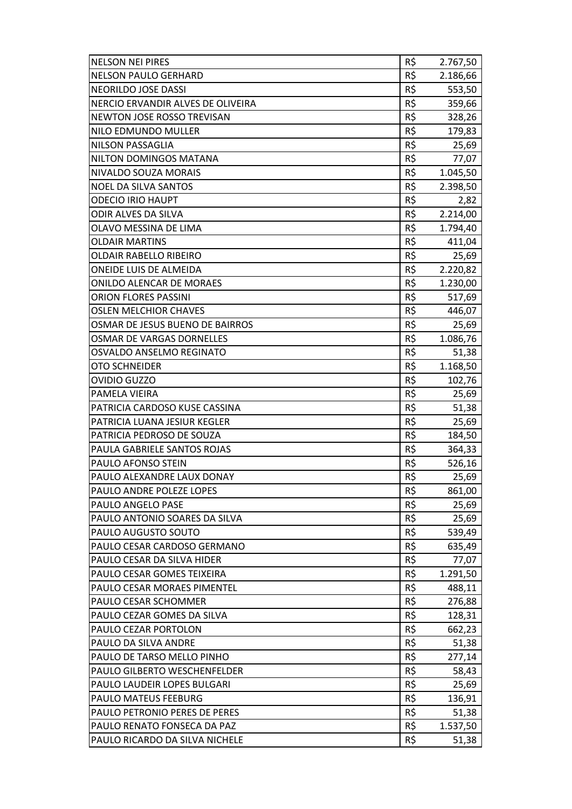| <b>NELSON NEI PIRES</b>           | R\$ | 2.767,50 |
|-----------------------------------|-----|----------|
| <b>NELSON PAULO GERHARD</b>       | R\$ | 2.186,66 |
| NEORILDO JOSE DASSI               | R\$ | 553,50   |
| NERCIO ERVANDIR ALVES DE OLIVEIRA | R\$ | 359,66   |
| NEWTON JOSE ROSSO TREVISAN        | R\$ | 328,26   |
| NILO EDMUNDO MULLER               | R\$ | 179,83   |
| NILSON PASSAGLIA                  | R\$ | 25,69    |
| NILTON DOMINGOS MATANA            | R\$ | 77,07    |
| NIVALDO SOUZA MORAIS              | R\$ | 1.045,50 |
| <b>NOEL DA SILVA SANTOS</b>       | R\$ | 2.398,50 |
| <b>ODECIO IRIO HAUPT</b>          | R\$ | 2,82     |
| ODIR ALVES DA SILVA               | R\$ | 2.214,00 |
| OLAVO MESSINA DE LIMA             | R\$ | 1.794,40 |
| <b>OLDAIR MARTINS</b>             | R\$ | 411,04   |
| <b>OLDAIR RABELLO RIBEIRO</b>     | R\$ | 25,69    |
| <b>ONEIDE LUIS DE ALMEIDA</b>     | R\$ | 2.220,82 |
| <b>ONILDO ALENCAR DE MORAES</b>   | R\$ | 1.230,00 |
| <b>ORION FLORES PASSINI</b>       | R\$ | 517,69   |
| <b>OSLEN MELCHIOR CHAVES</b>      | R\$ | 446,07   |
| OSMAR DE JESUS BUENO DE BAIRROS   | R\$ | 25,69    |
| <b>OSMAR DE VARGAS DORNELLES</b>  | R\$ | 1.086,76 |
| OSVALDO ANSELMO REGINATO          | R\$ | 51,38    |
| OTO SCHNEIDER                     | R\$ | 1.168,50 |
| <b>OVIDIO GUZZO</b>               | R\$ | 102,76   |
| PAMELA VIEIRA                     | R\$ | 25,69    |
| PATRICIA CARDOSO KUSE CASSINA     | R\$ | 51,38    |
| PATRICIA LUANA JESIUR KEGLER      | R\$ | 25,69    |
| PATRICIA PEDROSO DE SOUZA         | R\$ | 184,50   |
| PAULA GABRIELE SANTOS ROJAS       | R\$ | 364,33   |
| PAULO AFONSO STEIN                | R\$ | 526,16   |
| PAULO ALEXANDRE LAUX DONAY        | R\$ | 25,69    |
| PAULO ANDRE POLEZE LOPES          | R\$ | 861,00   |
| PAULO ANGELO PASE                 | R\$ | 25,69    |
| PAULO ANTONIO SOARES DA SILVA     | R\$ | 25,69    |
| PAULO AUGUSTO SOUTO               | R\$ | 539,49   |
| PAULO CESAR CARDOSO GERMANO       | R\$ | 635,49   |
| PAULO CESAR DA SILVA HIDER        | R\$ | 77,07    |
| PAULO CESAR GOMES TEIXEIRA        | R\$ | 1.291,50 |
| PAULO CESAR MORAES PIMENTEL       | R\$ | 488,11   |
| PAULO CESAR SCHOMMER              | R\$ | 276,88   |
| PAULO CEZAR GOMES DA SILVA        | R\$ | 128,31   |
| PAULO CEZAR PORTOLON              | R\$ | 662,23   |
| PAULO DA SILVA ANDRE              | R\$ | 51,38    |
| PAULO DE TARSO MELLO PINHO        | R\$ | 277,14   |
| PAULO GILBERTO WESCHENFELDER      | R\$ | 58,43    |
| PAULO LAUDEIR LOPES BULGARI       | R\$ | 25,69    |
| PAULO MATEUS FEEBURG              | R\$ | 136,91   |
| PAULO PETRONIO PERES DE PERES     | R\$ | 51,38    |
| PAULO RENATO FONSECA DA PAZ       | R\$ | 1.537,50 |
| PAULO RICARDO DA SILVA NICHELE    | R\$ | 51,38    |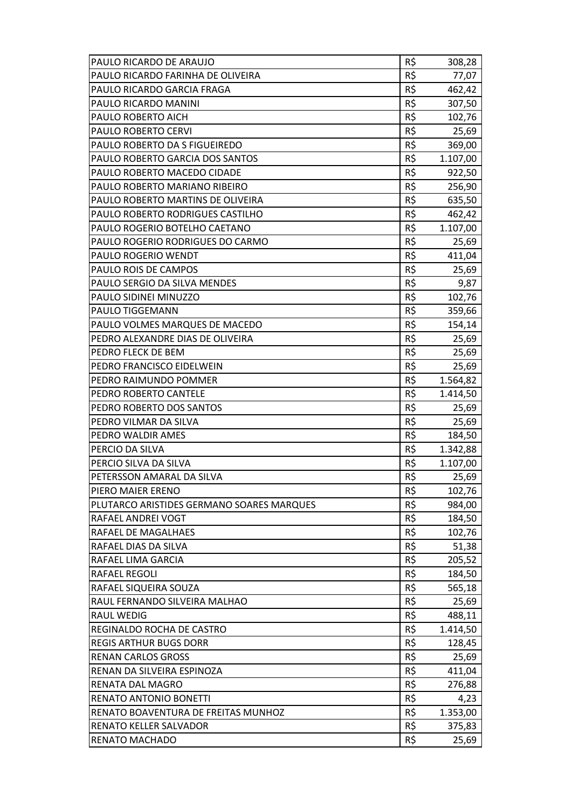| PAULO RICARDO FARINHA DE OLIVEIRA<br>R\$<br>77,07<br>R\$<br>PAULO RICARDO GARCIA FRAGA<br>462,42<br>R\$<br>PAULO RICARDO MANINI<br>307,50<br>R\$<br>PAULO ROBERTO AICH<br>102,76<br>R\$<br>PAULO ROBERTO CERVI<br>25,69<br>PAULO ROBERTO DA S FIGUEIREDO<br>R\$<br>369,00<br>R\$<br>PAULO ROBERTO GARCIA DOS SANTOS<br>1.107,00<br>R\$<br>PAULO ROBERTO MACEDO CIDADE<br>922,50<br>R\$<br>PAULO ROBERTO MARIANO RIBEIRO<br>256,90<br>R\$<br>PAULO ROBERTO MARTINS DE OLIVEIRA<br>635,50<br>PAULO ROBERTO RODRIGUES CASTILHO<br>R\$<br>462,42<br>R\$<br>PAULO ROGERIO BOTELHO CAETANO<br>1.107,00<br>R\$<br>PAULO ROGERIO RODRIGUES DO CARMO<br>25,69<br>R\$<br>PAULO ROGERIO WENDT<br>411,04<br>PAULO ROIS DE CAMPOS<br>R\$<br>25,69<br>PAULO SERGIO DA SILVA MENDES<br>R\$<br>9,87<br>R\$<br>PAULO SIDINEI MINUZZO<br>102,76<br>R\$<br>PAULO TIGGEMANN<br>359,66<br>R\$<br>PAULO VOLMES MARQUES DE MACEDO<br>154,14<br>R\$<br>PEDRO ALEXANDRE DIAS DE OLIVEIRA<br>25,69<br>PEDRO FLECK DE BEM<br>R\$<br>25,69<br>R\$<br>PEDRO FRANCISCO EIDELWEIN<br>25,69<br>R\$<br>PEDRO RAIMUNDO POMMER<br>1.564,82<br>R\$<br>PEDRO ROBERTO CANTELE<br>1.414,50<br>R\$<br>PEDRO ROBERTO DOS SANTOS<br>25,69<br>PEDRO VILMAR DA SILVA<br>R\$<br>25,69<br>R\$<br>PEDRO WALDIR AMES<br>184,50<br>R\$<br>PERCIO DA SILVA<br>1.342,88<br>R\$<br>PERCIO SILVA DA SILVA<br>1.107,00<br>R\$<br>PETERSSON AMARAL DA SILVA<br>25,69<br>PIERO MAIER ERENO<br>R\$<br>102,76<br>R\$<br>PLUTARCO ARISTIDES GERMANO SOARES MARQUES<br>984,00<br><b>RAFAEL ANDREI VOGT</b><br>R\$<br>184,50<br>R\$<br>RAFAEL DE MAGALHAES<br>102,76<br>R\$<br>RAFAEL DIAS DA SILVA<br>51,38<br>R\$<br>RAFAEL LIMA GARCIA<br>205,52<br>R\$<br><b>RAFAEL REGOLI</b><br>184,50<br>R\$<br>RAFAEL SIQUEIRA SOUZA<br>565,18<br>R\$<br>RAUL FERNANDO SILVEIRA MALHAO<br>25,69<br>R\$<br><b>RAUL WEDIG</b><br>488,11<br>R\$<br>REGINALDO ROCHA DE CASTRO<br>1.414,50<br>R\$<br><b>REGIS ARTHUR BUGS DORR</b><br>128,45<br>R\$<br><b>RENAN CARLOS GROSS</b><br>25,69<br>R\$<br>RENAN DA SILVEIRA ESPINOZA<br>411,04<br>R\$<br>RENATA DAL MAGRO<br>276,88<br>R\$<br>RENATO ANTONIO BONETTI<br>4,23<br>R\$<br>1.353,00<br>RENATO BOAVENTURA DE FREITAS MUNHOZ<br>R\$<br><b>RENATO KELLER SALVADOR</b><br>375,83<br>R\$<br><b>RENATO MACHADO</b><br>25,69 | PAULO RICARDO DE ARAUJO | R\$ | 308,28 |
|---------------------------------------------------------------------------------------------------------------------------------------------------------------------------------------------------------------------------------------------------------------------------------------------------------------------------------------------------------------------------------------------------------------------------------------------------------------------------------------------------------------------------------------------------------------------------------------------------------------------------------------------------------------------------------------------------------------------------------------------------------------------------------------------------------------------------------------------------------------------------------------------------------------------------------------------------------------------------------------------------------------------------------------------------------------------------------------------------------------------------------------------------------------------------------------------------------------------------------------------------------------------------------------------------------------------------------------------------------------------------------------------------------------------------------------------------------------------------------------------------------------------------------------------------------------------------------------------------------------------------------------------------------------------------------------------------------------------------------------------------------------------------------------------------------------------------------------------------------------------------------------------------------------------------------------------------------------------------------------------------------------------------------------------------------------------------------------------------------------------------------------------------------------------------------------------------------------------------------------------------------------------------------------------------|-------------------------|-----|--------|
|                                                                                                                                                                                                                                                                                                                                                                                                                                                                                                                                                                                                                                                                                                                                                                                                                                                                                                                                                                                                                                                                                                                                                                                                                                                                                                                                                                                                                                                                                                                                                                                                                                                                                                                                                                                                                                                                                                                                                                                                                                                                                                                                                                                                                                                                                                   |                         |     |        |
|                                                                                                                                                                                                                                                                                                                                                                                                                                                                                                                                                                                                                                                                                                                                                                                                                                                                                                                                                                                                                                                                                                                                                                                                                                                                                                                                                                                                                                                                                                                                                                                                                                                                                                                                                                                                                                                                                                                                                                                                                                                                                                                                                                                                                                                                                                   |                         |     |        |
|                                                                                                                                                                                                                                                                                                                                                                                                                                                                                                                                                                                                                                                                                                                                                                                                                                                                                                                                                                                                                                                                                                                                                                                                                                                                                                                                                                                                                                                                                                                                                                                                                                                                                                                                                                                                                                                                                                                                                                                                                                                                                                                                                                                                                                                                                                   |                         |     |        |
|                                                                                                                                                                                                                                                                                                                                                                                                                                                                                                                                                                                                                                                                                                                                                                                                                                                                                                                                                                                                                                                                                                                                                                                                                                                                                                                                                                                                                                                                                                                                                                                                                                                                                                                                                                                                                                                                                                                                                                                                                                                                                                                                                                                                                                                                                                   |                         |     |        |
|                                                                                                                                                                                                                                                                                                                                                                                                                                                                                                                                                                                                                                                                                                                                                                                                                                                                                                                                                                                                                                                                                                                                                                                                                                                                                                                                                                                                                                                                                                                                                                                                                                                                                                                                                                                                                                                                                                                                                                                                                                                                                                                                                                                                                                                                                                   |                         |     |        |
|                                                                                                                                                                                                                                                                                                                                                                                                                                                                                                                                                                                                                                                                                                                                                                                                                                                                                                                                                                                                                                                                                                                                                                                                                                                                                                                                                                                                                                                                                                                                                                                                                                                                                                                                                                                                                                                                                                                                                                                                                                                                                                                                                                                                                                                                                                   |                         |     |        |
|                                                                                                                                                                                                                                                                                                                                                                                                                                                                                                                                                                                                                                                                                                                                                                                                                                                                                                                                                                                                                                                                                                                                                                                                                                                                                                                                                                                                                                                                                                                                                                                                                                                                                                                                                                                                                                                                                                                                                                                                                                                                                                                                                                                                                                                                                                   |                         |     |        |
|                                                                                                                                                                                                                                                                                                                                                                                                                                                                                                                                                                                                                                                                                                                                                                                                                                                                                                                                                                                                                                                                                                                                                                                                                                                                                                                                                                                                                                                                                                                                                                                                                                                                                                                                                                                                                                                                                                                                                                                                                                                                                                                                                                                                                                                                                                   |                         |     |        |
|                                                                                                                                                                                                                                                                                                                                                                                                                                                                                                                                                                                                                                                                                                                                                                                                                                                                                                                                                                                                                                                                                                                                                                                                                                                                                                                                                                                                                                                                                                                                                                                                                                                                                                                                                                                                                                                                                                                                                                                                                                                                                                                                                                                                                                                                                                   |                         |     |        |
|                                                                                                                                                                                                                                                                                                                                                                                                                                                                                                                                                                                                                                                                                                                                                                                                                                                                                                                                                                                                                                                                                                                                                                                                                                                                                                                                                                                                                                                                                                                                                                                                                                                                                                                                                                                                                                                                                                                                                                                                                                                                                                                                                                                                                                                                                                   |                         |     |        |
|                                                                                                                                                                                                                                                                                                                                                                                                                                                                                                                                                                                                                                                                                                                                                                                                                                                                                                                                                                                                                                                                                                                                                                                                                                                                                                                                                                                                                                                                                                                                                                                                                                                                                                                                                                                                                                                                                                                                                                                                                                                                                                                                                                                                                                                                                                   |                         |     |        |
|                                                                                                                                                                                                                                                                                                                                                                                                                                                                                                                                                                                                                                                                                                                                                                                                                                                                                                                                                                                                                                                                                                                                                                                                                                                                                                                                                                                                                                                                                                                                                                                                                                                                                                                                                                                                                                                                                                                                                                                                                                                                                                                                                                                                                                                                                                   |                         |     |        |
|                                                                                                                                                                                                                                                                                                                                                                                                                                                                                                                                                                                                                                                                                                                                                                                                                                                                                                                                                                                                                                                                                                                                                                                                                                                                                                                                                                                                                                                                                                                                                                                                                                                                                                                                                                                                                                                                                                                                                                                                                                                                                                                                                                                                                                                                                                   |                         |     |        |
|                                                                                                                                                                                                                                                                                                                                                                                                                                                                                                                                                                                                                                                                                                                                                                                                                                                                                                                                                                                                                                                                                                                                                                                                                                                                                                                                                                                                                                                                                                                                                                                                                                                                                                                                                                                                                                                                                                                                                                                                                                                                                                                                                                                                                                                                                                   |                         |     |        |
|                                                                                                                                                                                                                                                                                                                                                                                                                                                                                                                                                                                                                                                                                                                                                                                                                                                                                                                                                                                                                                                                                                                                                                                                                                                                                                                                                                                                                                                                                                                                                                                                                                                                                                                                                                                                                                                                                                                                                                                                                                                                                                                                                                                                                                                                                                   |                         |     |        |
|                                                                                                                                                                                                                                                                                                                                                                                                                                                                                                                                                                                                                                                                                                                                                                                                                                                                                                                                                                                                                                                                                                                                                                                                                                                                                                                                                                                                                                                                                                                                                                                                                                                                                                                                                                                                                                                                                                                                                                                                                                                                                                                                                                                                                                                                                                   |                         |     |        |
|                                                                                                                                                                                                                                                                                                                                                                                                                                                                                                                                                                                                                                                                                                                                                                                                                                                                                                                                                                                                                                                                                                                                                                                                                                                                                                                                                                                                                                                                                                                                                                                                                                                                                                                                                                                                                                                                                                                                                                                                                                                                                                                                                                                                                                                                                                   |                         |     |        |
|                                                                                                                                                                                                                                                                                                                                                                                                                                                                                                                                                                                                                                                                                                                                                                                                                                                                                                                                                                                                                                                                                                                                                                                                                                                                                                                                                                                                                                                                                                                                                                                                                                                                                                                                                                                                                                                                                                                                                                                                                                                                                                                                                                                                                                                                                                   |                         |     |        |
|                                                                                                                                                                                                                                                                                                                                                                                                                                                                                                                                                                                                                                                                                                                                                                                                                                                                                                                                                                                                                                                                                                                                                                                                                                                                                                                                                                                                                                                                                                                                                                                                                                                                                                                                                                                                                                                                                                                                                                                                                                                                                                                                                                                                                                                                                                   |                         |     |        |
|                                                                                                                                                                                                                                                                                                                                                                                                                                                                                                                                                                                                                                                                                                                                                                                                                                                                                                                                                                                                                                                                                                                                                                                                                                                                                                                                                                                                                                                                                                                                                                                                                                                                                                                                                                                                                                                                                                                                                                                                                                                                                                                                                                                                                                                                                                   |                         |     |        |
|                                                                                                                                                                                                                                                                                                                                                                                                                                                                                                                                                                                                                                                                                                                                                                                                                                                                                                                                                                                                                                                                                                                                                                                                                                                                                                                                                                                                                                                                                                                                                                                                                                                                                                                                                                                                                                                                                                                                                                                                                                                                                                                                                                                                                                                                                                   |                         |     |        |
|                                                                                                                                                                                                                                                                                                                                                                                                                                                                                                                                                                                                                                                                                                                                                                                                                                                                                                                                                                                                                                                                                                                                                                                                                                                                                                                                                                                                                                                                                                                                                                                                                                                                                                                                                                                                                                                                                                                                                                                                                                                                                                                                                                                                                                                                                                   |                         |     |        |
|                                                                                                                                                                                                                                                                                                                                                                                                                                                                                                                                                                                                                                                                                                                                                                                                                                                                                                                                                                                                                                                                                                                                                                                                                                                                                                                                                                                                                                                                                                                                                                                                                                                                                                                                                                                                                                                                                                                                                                                                                                                                                                                                                                                                                                                                                                   |                         |     |        |
|                                                                                                                                                                                                                                                                                                                                                                                                                                                                                                                                                                                                                                                                                                                                                                                                                                                                                                                                                                                                                                                                                                                                                                                                                                                                                                                                                                                                                                                                                                                                                                                                                                                                                                                                                                                                                                                                                                                                                                                                                                                                                                                                                                                                                                                                                                   |                         |     |        |
|                                                                                                                                                                                                                                                                                                                                                                                                                                                                                                                                                                                                                                                                                                                                                                                                                                                                                                                                                                                                                                                                                                                                                                                                                                                                                                                                                                                                                                                                                                                                                                                                                                                                                                                                                                                                                                                                                                                                                                                                                                                                                                                                                                                                                                                                                                   |                         |     |        |
|                                                                                                                                                                                                                                                                                                                                                                                                                                                                                                                                                                                                                                                                                                                                                                                                                                                                                                                                                                                                                                                                                                                                                                                                                                                                                                                                                                                                                                                                                                                                                                                                                                                                                                                                                                                                                                                                                                                                                                                                                                                                                                                                                                                                                                                                                                   |                         |     |        |
|                                                                                                                                                                                                                                                                                                                                                                                                                                                                                                                                                                                                                                                                                                                                                                                                                                                                                                                                                                                                                                                                                                                                                                                                                                                                                                                                                                                                                                                                                                                                                                                                                                                                                                                                                                                                                                                                                                                                                                                                                                                                                                                                                                                                                                                                                                   |                         |     |        |
|                                                                                                                                                                                                                                                                                                                                                                                                                                                                                                                                                                                                                                                                                                                                                                                                                                                                                                                                                                                                                                                                                                                                                                                                                                                                                                                                                                                                                                                                                                                                                                                                                                                                                                                                                                                                                                                                                                                                                                                                                                                                                                                                                                                                                                                                                                   |                         |     |        |
|                                                                                                                                                                                                                                                                                                                                                                                                                                                                                                                                                                                                                                                                                                                                                                                                                                                                                                                                                                                                                                                                                                                                                                                                                                                                                                                                                                                                                                                                                                                                                                                                                                                                                                                                                                                                                                                                                                                                                                                                                                                                                                                                                                                                                                                                                                   |                         |     |        |
|                                                                                                                                                                                                                                                                                                                                                                                                                                                                                                                                                                                                                                                                                                                                                                                                                                                                                                                                                                                                                                                                                                                                                                                                                                                                                                                                                                                                                                                                                                                                                                                                                                                                                                                                                                                                                                                                                                                                                                                                                                                                                                                                                                                                                                                                                                   |                         |     |        |
|                                                                                                                                                                                                                                                                                                                                                                                                                                                                                                                                                                                                                                                                                                                                                                                                                                                                                                                                                                                                                                                                                                                                                                                                                                                                                                                                                                                                                                                                                                                                                                                                                                                                                                                                                                                                                                                                                                                                                                                                                                                                                                                                                                                                                                                                                                   |                         |     |        |
|                                                                                                                                                                                                                                                                                                                                                                                                                                                                                                                                                                                                                                                                                                                                                                                                                                                                                                                                                                                                                                                                                                                                                                                                                                                                                                                                                                                                                                                                                                                                                                                                                                                                                                                                                                                                                                                                                                                                                                                                                                                                                                                                                                                                                                                                                                   |                         |     |        |
|                                                                                                                                                                                                                                                                                                                                                                                                                                                                                                                                                                                                                                                                                                                                                                                                                                                                                                                                                                                                                                                                                                                                                                                                                                                                                                                                                                                                                                                                                                                                                                                                                                                                                                                                                                                                                                                                                                                                                                                                                                                                                                                                                                                                                                                                                                   |                         |     |        |
|                                                                                                                                                                                                                                                                                                                                                                                                                                                                                                                                                                                                                                                                                                                                                                                                                                                                                                                                                                                                                                                                                                                                                                                                                                                                                                                                                                                                                                                                                                                                                                                                                                                                                                                                                                                                                                                                                                                                                                                                                                                                                                                                                                                                                                                                                                   |                         |     |        |
|                                                                                                                                                                                                                                                                                                                                                                                                                                                                                                                                                                                                                                                                                                                                                                                                                                                                                                                                                                                                                                                                                                                                                                                                                                                                                                                                                                                                                                                                                                                                                                                                                                                                                                                                                                                                                                                                                                                                                                                                                                                                                                                                                                                                                                                                                                   |                         |     |        |
|                                                                                                                                                                                                                                                                                                                                                                                                                                                                                                                                                                                                                                                                                                                                                                                                                                                                                                                                                                                                                                                                                                                                                                                                                                                                                                                                                                                                                                                                                                                                                                                                                                                                                                                                                                                                                                                                                                                                                                                                                                                                                                                                                                                                                                                                                                   |                         |     |        |
|                                                                                                                                                                                                                                                                                                                                                                                                                                                                                                                                                                                                                                                                                                                                                                                                                                                                                                                                                                                                                                                                                                                                                                                                                                                                                                                                                                                                                                                                                                                                                                                                                                                                                                                                                                                                                                                                                                                                                                                                                                                                                                                                                                                                                                                                                                   |                         |     |        |
|                                                                                                                                                                                                                                                                                                                                                                                                                                                                                                                                                                                                                                                                                                                                                                                                                                                                                                                                                                                                                                                                                                                                                                                                                                                                                                                                                                                                                                                                                                                                                                                                                                                                                                                                                                                                                                                                                                                                                                                                                                                                                                                                                                                                                                                                                                   |                         |     |        |
|                                                                                                                                                                                                                                                                                                                                                                                                                                                                                                                                                                                                                                                                                                                                                                                                                                                                                                                                                                                                                                                                                                                                                                                                                                                                                                                                                                                                                                                                                                                                                                                                                                                                                                                                                                                                                                                                                                                                                                                                                                                                                                                                                                                                                                                                                                   |                         |     |        |
|                                                                                                                                                                                                                                                                                                                                                                                                                                                                                                                                                                                                                                                                                                                                                                                                                                                                                                                                                                                                                                                                                                                                                                                                                                                                                                                                                                                                                                                                                                                                                                                                                                                                                                                                                                                                                                                                                                                                                                                                                                                                                                                                                                                                                                                                                                   |                         |     |        |
|                                                                                                                                                                                                                                                                                                                                                                                                                                                                                                                                                                                                                                                                                                                                                                                                                                                                                                                                                                                                                                                                                                                                                                                                                                                                                                                                                                                                                                                                                                                                                                                                                                                                                                                                                                                                                                                                                                                                                                                                                                                                                                                                                                                                                                                                                                   |                         |     |        |
|                                                                                                                                                                                                                                                                                                                                                                                                                                                                                                                                                                                                                                                                                                                                                                                                                                                                                                                                                                                                                                                                                                                                                                                                                                                                                                                                                                                                                                                                                                                                                                                                                                                                                                                                                                                                                                                                                                                                                                                                                                                                                                                                                                                                                                                                                                   |                         |     |        |
|                                                                                                                                                                                                                                                                                                                                                                                                                                                                                                                                                                                                                                                                                                                                                                                                                                                                                                                                                                                                                                                                                                                                                                                                                                                                                                                                                                                                                                                                                                                                                                                                                                                                                                                                                                                                                                                                                                                                                                                                                                                                                                                                                                                                                                                                                                   |                         |     |        |
|                                                                                                                                                                                                                                                                                                                                                                                                                                                                                                                                                                                                                                                                                                                                                                                                                                                                                                                                                                                                                                                                                                                                                                                                                                                                                                                                                                                                                                                                                                                                                                                                                                                                                                                                                                                                                                                                                                                                                                                                                                                                                                                                                                                                                                                                                                   |                         |     |        |
|                                                                                                                                                                                                                                                                                                                                                                                                                                                                                                                                                                                                                                                                                                                                                                                                                                                                                                                                                                                                                                                                                                                                                                                                                                                                                                                                                                                                                                                                                                                                                                                                                                                                                                                                                                                                                                                                                                                                                                                                                                                                                                                                                                                                                                                                                                   |                         |     |        |
|                                                                                                                                                                                                                                                                                                                                                                                                                                                                                                                                                                                                                                                                                                                                                                                                                                                                                                                                                                                                                                                                                                                                                                                                                                                                                                                                                                                                                                                                                                                                                                                                                                                                                                                                                                                                                                                                                                                                                                                                                                                                                                                                                                                                                                                                                                   |                         |     |        |
|                                                                                                                                                                                                                                                                                                                                                                                                                                                                                                                                                                                                                                                                                                                                                                                                                                                                                                                                                                                                                                                                                                                                                                                                                                                                                                                                                                                                                                                                                                                                                                                                                                                                                                                                                                                                                                                                                                                                                                                                                                                                                                                                                                                                                                                                                                   |                         |     |        |
|                                                                                                                                                                                                                                                                                                                                                                                                                                                                                                                                                                                                                                                                                                                                                                                                                                                                                                                                                                                                                                                                                                                                                                                                                                                                                                                                                                                                                                                                                                                                                                                                                                                                                                                                                                                                                                                                                                                                                                                                                                                                                                                                                                                                                                                                                                   |                         |     |        |
|                                                                                                                                                                                                                                                                                                                                                                                                                                                                                                                                                                                                                                                                                                                                                                                                                                                                                                                                                                                                                                                                                                                                                                                                                                                                                                                                                                                                                                                                                                                                                                                                                                                                                                                                                                                                                                                                                                                                                                                                                                                                                                                                                                                                                                                                                                   |                         |     |        |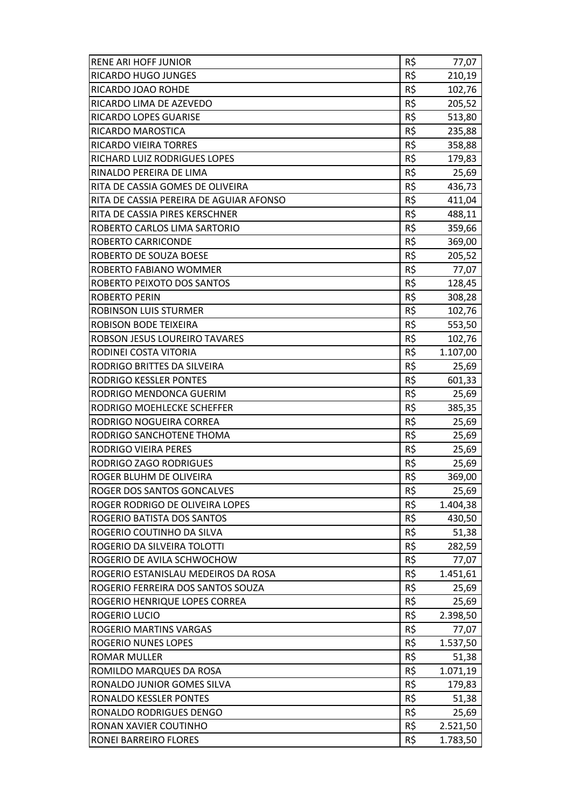| RENE ARI HOFF JUNIOR                    | R\$ | 77,07    |
|-----------------------------------------|-----|----------|
| RICARDO HUGO JUNGES                     | R\$ | 210,19   |
| RICARDO JOAO ROHDE                      | R\$ | 102,76   |
| RICARDO LIMA DE AZEVEDO                 | R\$ | 205,52   |
| RICARDO LOPES GUARISE                   | R\$ | 513,80   |
| RICARDO MAROSTICA                       | R\$ | 235,88   |
| RICARDO VIEIRA TORRES                   | R\$ | 358,88   |
| RICHARD LUIZ RODRIGUES LOPES            | R\$ | 179,83   |
| RINALDO PEREIRA DE LIMA                 | R\$ | 25,69    |
| RITA DE CASSIA GOMES DE OLIVEIRA        | R\$ | 436,73   |
| RITA DE CASSIA PEREIRA DE AGUIAR AFONSO | R\$ | 411,04   |
| RITA DE CASSIA PIRES KERSCHNER          | R\$ | 488,11   |
| ROBERTO CARLOS LIMA SARTORIO            | R\$ | 359,66   |
| ROBERTO CARRICONDE                      | R\$ | 369,00   |
| ROBERTO DE SOUZA BOESE                  | R\$ | 205,52   |
| ROBERTO FABIANO WOMMER                  | R\$ | 77,07    |
| ROBERTO PEIXOTO DOS SANTOS              | R\$ | 128,45   |
| <b>ROBERTO PERIN</b>                    | R\$ | 308,28   |
| <b>ROBINSON LUIS STURMER</b>            | R\$ | 102,76   |
| <b>ROBISON BODE TEIXEIRA</b>            | R\$ | 553,50   |
| ROBSON JESUS LOUREIRO TAVARES           | R\$ | 102,76   |
| RODINEI COSTA VITORIA                   | R\$ | 1.107,00 |
| RODRIGO BRITTES DA SILVEIRA             | R\$ | 25,69    |
| RODRIGO KESSLER PONTES                  | R\$ | 601,33   |
| RODRIGO MENDONCA GUERIM                 | R\$ | 25,69    |
| RODRIGO MOEHLECKE SCHEFFER              | R\$ | 385,35   |
| RODRIGO NOGUEIRA CORREA                 | R\$ | 25,69    |
| RODRIGO SANCHOTENE THOMA                | R\$ | 25,69    |
| <b>RODRIGO VIEIRA PERES</b>             | R\$ | 25,69    |
| RODRIGO ZAGO RODRIGUES                  | R\$ | 25,69    |
| ROGER BLUHM DE OLIVEIRA                 | R\$ | 369,00   |
| ROGER DOS SANTOS GONCALVES              | R\$ | 25,69    |
| ROGER RODRIGO DE OLIVEIRA LOPES         | R\$ | 1.404,38 |
| ROGERIO BATISTA DOS SANTOS              | R\$ | 430,50   |
| ROGERIO COUTINHO DA SILVA               | R\$ | 51,38    |
| ROGERIO DA SILVEIRA TOLOTTI             | R\$ | 282,59   |
| ROGERIO DE AVILA SCHWOCHOW              | R\$ | 77,07    |
| ROGERIO ESTANISLAU MEDEIROS DA ROSA     | R\$ | 1.451,61 |
| ROGERIO FERREIRA DOS SANTOS SOUZA       | R\$ | 25,69    |
| ROGERIO HENRIQUE LOPES CORREA           | R\$ | 25,69    |
| ROGERIO LUCIO                           | R\$ | 2.398,50 |
| ROGERIO MARTINS VARGAS                  | R\$ | 77,07    |
| <b>ROGERIO NUNES LOPES</b>              | R\$ | 1.537,50 |
| <b>ROMAR MULLER</b>                     | R\$ | 51,38    |
| ROMILDO MARQUES DA ROSA                 | R\$ | 1.071,19 |
| RONALDO JUNIOR GOMES SILVA              | R\$ | 179,83   |
| RONALDO KESSLER PONTES                  | R\$ | 51,38    |
| RONALDO RODRIGUES DENGO                 | R\$ | 25,69    |
| RONAN XAVIER COUTINHO                   | R\$ | 2.521,50 |
| RONEI BARREIRO FLORES                   | R\$ | 1.783,50 |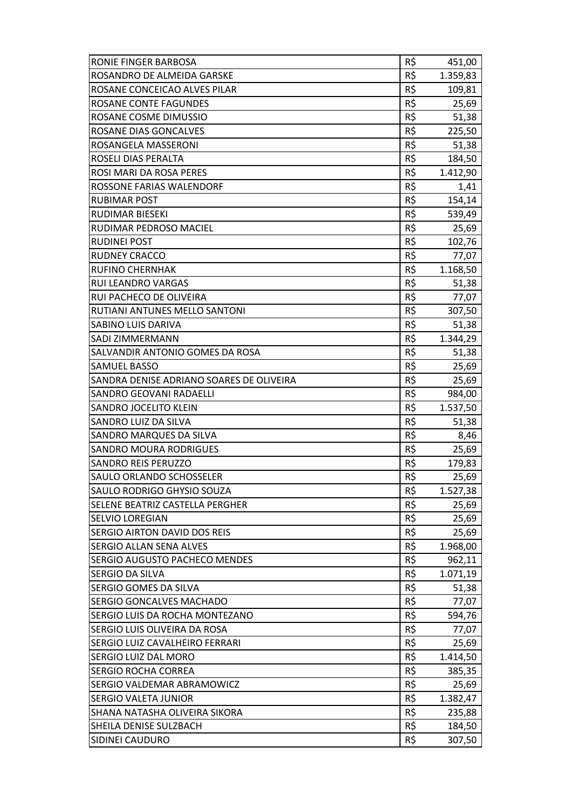| RONIE FINGER BARBOSA                     | R\$ | 451,00   |
|------------------------------------------|-----|----------|
| ROSANDRO DE ALMEIDA GARSKE               | R\$ | 1.359,83 |
| ROSANE CONCEICAO ALVES PILAR             | R\$ | 109,81   |
| <b>ROSANE CONTE FAGUNDES</b>             | R\$ | 25,69    |
| ROSANE COSME DIMUSSIO                    | R\$ | 51,38    |
| ROSANE DIAS GONCALVES                    | R\$ | 225,50   |
| ROSANGELA MASSERONI                      | R\$ | 51,38    |
| ROSELI DIAS PERALTA                      | R\$ | 184,50   |
| <b>ROSI MARI DA ROSA PERES</b>           | R\$ | 1.412,90 |
| ROSSONE FARIAS WALENDORF                 | R\$ | 1,41     |
| <b>RUBIMAR POST</b>                      | R\$ | 154,14   |
| <b>RUDIMAR BIESEKI</b>                   | R\$ | 539,49   |
| RUDIMAR PEDROSO MACIEL                   | R\$ | 25,69    |
| <b>RUDINEI POST</b>                      | R\$ | 102,76   |
| <b>RUDNEY CRACCO</b>                     | R\$ | 77,07    |
| <b>RUFINO CHERNHAK</b>                   | R\$ | 1.168,50 |
| <b>RUI LEANDRO VARGAS</b>                | R\$ | 51,38    |
| RUI PACHECO DE OLIVEIRA                  | R\$ | 77,07    |
| <b>RUTIANI ANTUNES MELLO SANTONI</b>     | R\$ | 307,50   |
| <b>SABINO LUIS DARIVA</b>                | R\$ | 51,38    |
| <b>SADI ZIMMERMANN</b>                   | R\$ | 1.344,29 |
| SALVANDIR ANTONIO GOMES DA ROSA          | R\$ | 51,38    |
| lSAMUEL BASSO                            | R\$ | 25,69    |
| SANDRA DENISE ADRIANO SOARES DE OLIVEIRA | R\$ | 25,69    |
| <b>SANDRO GEOVANI RADAELLI</b>           | R\$ | 984,00   |
| <b>SANDRO JOCELITO KLEIN</b>             | R\$ | 1.537,50 |
| SANDRO LUIZ DA SILVA                     | R\$ | 51,38    |
| <b>SANDRO MARQUES DA SILVA</b>           | R\$ | 8,46     |
| <b>SANDRO MOURA RODRIGUES</b>            | R\$ | 25,69    |
| <b>SANDRO REIS PERUZZO</b>               | R\$ | 179,83   |
| <b>SAULO ORLANDO SCHOSSELER</b>          | R\$ | 25,69    |
| SAULO RODRIGO GHYSIO SOUZA               | R\$ | 1.527,38 |
| <b>SELENE BEATRIZ CASTELLA PERGHER</b>   | R\$ | 25,69    |
| <b>SELVIO LOREGIAN</b>                   | R\$ | 25,69    |
| <b>SERGIO AIRTON DAVID DOS REIS</b>      | R\$ | 25,69    |
| <b>SERGIO ALLAN SENA ALVES</b>           | R\$ | 1.968,00 |
| <b>SERGIO AUGUSTO PACHECO MENDES</b>     | R\$ | 962,11   |
| SERGIO DA SILVA                          | R\$ | 1.071,19 |
| <b>SERGIO GOMES DA SILVA</b>             | R\$ | 51,38    |
| <b>SERGIO GONCALVES MACHADO</b>          | R\$ | 77,07    |
| SERGIO LUIS DA ROCHA MONTEZANO           | R\$ | 594,76   |
| SERGIO LUIS OLIVEIRA DA ROSA             | R\$ | 77,07    |
| SERGIO LUIZ CAVALHEIRO FERRARI           | R\$ | 25,69    |
| <b>SERGIO LUIZ DAL MORO</b>              | R\$ | 1.414,50 |
| <b>SERGIO ROCHA CORREA</b>               | R\$ | 385,35   |
| SERGIO VALDEMAR ABRAMOWICZ               | R\$ | 25,69    |
| <b>SERGIO VALETA JUNIOR</b>              | R\$ | 1.382,47 |
| SHANA NATASHA OLIVEIRA SIKORA            | R\$ | 235,88   |
| SHEILA DENISE SULZBACH                   | R\$ | 184,50   |
| <b>SIDINEI CAUDURO</b>                   | R\$ | 307,50   |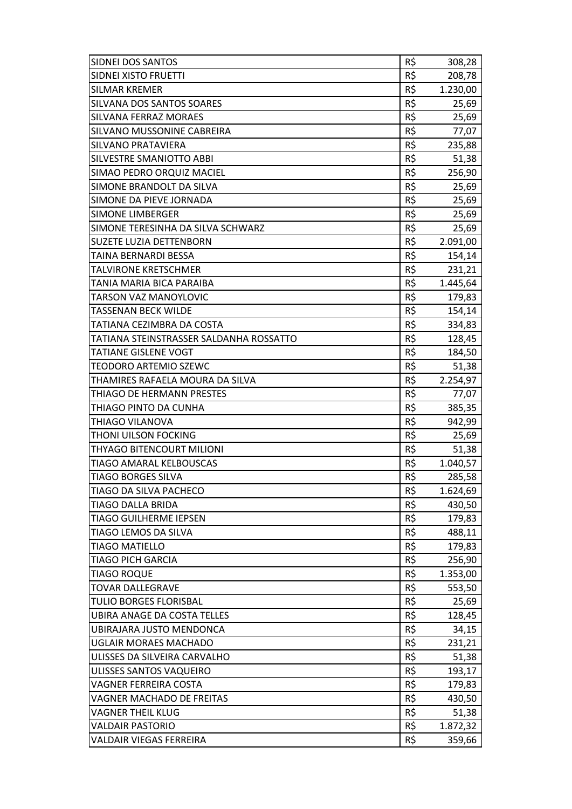| SIDNEI DOS SANTOS                       | R\$ | 308,28   |
|-----------------------------------------|-----|----------|
| <b>SIDNEI XISTO FRUETTI</b>             | R\$ | 208,78   |
| <b>SILMAR KREMER</b>                    | R\$ | 1.230,00 |
| <b>SILVANA DOS SANTOS SOARES</b>        | R\$ | 25,69    |
| <b>SILVANA FERRAZ MORAES</b>            | R\$ | 25,69    |
| SILVANO MUSSONINE CABREIRA              | R\$ | 77,07    |
| <b>SILVANO PRATAVIERA</b>               | R\$ | 235,88   |
| <b>SILVESTRE SMANIOTTO ABBI</b>         | R\$ | 51,38    |
| SIMAO PEDRO ORQUIZ MACIEL               | R\$ | 256,90   |
| SIMONE BRANDOLT DA SILVA                | R\$ | 25,69    |
| SIMONE DA PIEVE JORNADA                 | R\$ | 25,69    |
| <b>SIMONE LIMBERGER</b>                 | R\$ | 25,69    |
| SIMONE TERESINHA DA SILVA SCHWARZ       | R\$ | 25,69    |
| <b>SUZETE LUZIA DETTENBORN</b>          | R\$ | 2.091,00 |
| TAINA BERNARDI BESSA                    | R\$ | 154,14   |
| <b>TALVIRONE KRETSCHMER</b>             | R\$ | 231,21   |
| TANIA MARIA BICA PARAIBA                | R\$ | 1.445,64 |
| <b>TARSON VAZ MANOYLOVIC</b>            | R\$ | 179,83   |
| <b>TASSENAN BECK WILDE</b>              | R\$ | 154,14   |
| TATIANA CEZIMBRA DA COSTA               | R\$ | 334,83   |
| TATIANA STEINSTRASSER SALDANHA ROSSATTO | R\$ | 128,45   |
| <b>TATIANE GISLENE VOGT</b>             | R\$ | 184,50   |
| <b>TEODORO ARTEMIO SZEWC</b>            | R\$ | 51,38    |
| THAMIRES RAFAELA MOURA DA SILVA         | R\$ | 2.254,97 |
| THIAGO DE HERMANN PRESTES               | R\$ | 77,07    |
| THIAGO PINTO DA CUNHA                   | R\$ | 385,35   |
| THIAGO VILANOVA                         | R\$ | 942,99   |
| THONI UILSON FOCKING                    | R\$ | 25,69    |
| <b>THYAGO BITENCOURT MILIONI</b>        | R\$ | 51,38    |
| <b>TIAGO AMARAL KELBOUSCAS</b>          | R\$ | 1.040,57 |
| <b>TIAGO BORGES SILVA</b>               | R\$ | 285,58   |
| TIAGO DA SILVA PACHECO                  | R\$ | 1.624,69 |
| <b>TIAGO DALLA BRIDA</b>                | R\$ | 430,50   |
| <b>TIAGO GUILHERME IEPSEN</b>           | R\$ | 179,83   |
| TIAGO LEMOS DA SILVA                    | R\$ | 488,11   |
| <b>TIAGO MATIELLO</b>                   | R\$ | 179,83   |
| <b>TIAGO PICH GARCIA</b>                | R\$ | 256,90   |
| <b>TIAGO ROQUE</b>                      | R\$ | 1.353,00 |
| <b>TOVAR DALLEGRAVE</b>                 | R\$ | 553,50   |
| <b>TULIO BORGES FLORISBAL</b>           | R\$ | 25,69    |
| UBIRA ANAGE DA COSTA TELLES             | R\$ | 128,45   |
| UBIRAJARA JUSTO MENDONCA                | R\$ | 34,15    |
| UGLAIR MORAES MACHADO                   | R\$ | 231,21   |
| ULISSES DA SILVEIRA CARVALHO            | R\$ | 51,38    |
| ULISSES SANTOS VAQUEIRO                 | R\$ | 193,17   |
| <b>VAGNER FERREIRA COSTA</b>            | R\$ | 179,83   |
| VAGNER MACHADO DE FREITAS               | R\$ | 430,50   |
| <b>VAGNER THEIL KLUG</b>                | R\$ | 51,38    |
| <b>VALDAIR PASTORIO</b>                 | R\$ | 1.872,32 |
| <b>VALDAIR VIEGAS FERREIRA</b>          | R\$ | 359,66   |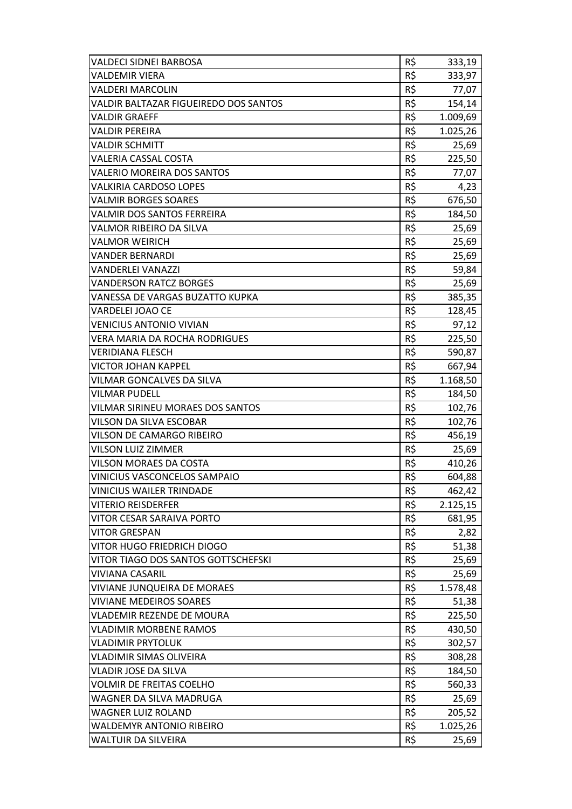| <b>VALDECI SIDNEI BARBOSA</b>         | R\$ | 333,19   |
|---------------------------------------|-----|----------|
| <b>VALDEMIR VIERA</b>                 | R\$ | 333,97   |
| <b>VALDERI MARCOLIN</b>               | R\$ | 77,07    |
| VALDIR BALTAZAR FIGUEIREDO DOS SANTOS | R\$ | 154,14   |
| <b>VALDIR GRAEFF</b>                  | R\$ | 1.009,69 |
| <b>VALDIR PEREIRA</b>                 | R\$ | 1.025,26 |
| <b>VALDIR SCHMITT</b>                 | R\$ | 25,69    |
| <b>VALERIA CASSAL COSTA</b>           | R\$ | 225,50   |
| <b>VALERIO MOREIRA DOS SANTOS</b>     | R\$ | 77,07    |
| <b>VALKIRIA CARDOSO LOPES</b>         | R\$ | 4,23     |
| <b>VALMIR BORGES SOARES</b>           | R\$ | 676,50   |
| <b>VALMIR DOS SANTOS FERREIRA</b>     | R\$ | 184,50   |
| VALMOR RIBEIRO DA SILVA               | R\$ | 25,69    |
| <b>VALMOR WEIRICH</b>                 | R\$ | 25,69    |
| <b>VANDER BERNARDI</b>                | R\$ | 25,69    |
| <b>VANDERLEI VANAZZI</b>              | R\$ | 59,84    |
| <b>VANDERSON RATCZ BORGES</b>         | R\$ | 25,69    |
| VANESSA DE VARGAS BUZATTO KUPKA       | R\$ | 385,35   |
| <b>VARDELEI JOAO CE</b>               | R\$ | 128,45   |
| <b>VENICIUS ANTONIO VIVIAN</b>        | R\$ | 97,12    |
| VERA MARIA DA ROCHA RODRIGUES         | R\$ | 225,50   |
| <b>VERIDIANA FLESCH</b>               | R\$ | 590,87   |
| <b>VICTOR JOHAN KAPPEL</b>            | R\$ | 667,94   |
| VILMAR GONCALVES DA SILVA             | R\$ | 1.168,50 |
| <b>VILMAR PUDELL</b>                  | R\$ | 184,50   |
| VILMAR SIRINEU MORAES DOS SANTOS      | R\$ | 102,76   |
| VILSON DA SILVA ESCOBAR               | R\$ | 102,76   |
| <b>VILSON DE CAMARGO RIBEIRO</b>      | R\$ | 456,19   |
| <b>VILSON LUIZ ZIMMER</b>             | R\$ | 25,69    |
| <b>VILSON MORAES DA COSTA</b>         | R\$ | 410,26   |
| <b>VINICIUS VASCONCELOS SAMPAIO</b>   | R\$ | 604,88   |
| <b>VINICIUS WAILER TRINDADE</b>       | R\$ | 462,42   |
| <b>VITERIO REISDERFER</b>             | R\$ | 2.125,15 |
| <b>VITOR CESAR SARAIVA PORTO</b>      | R\$ | 681,95   |
| <b>VITOR GRESPAN</b>                  | R\$ | 2,82     |
| VITOR HUGO FRIEDRICH DIOGO            | R\$ | 51,38    |
| VITOR TIAGO DOS SANTOS GOTTSCHEFSKI   | R\$ | 25,69    |
| <b>VIVIANA CASARIL</b>                | R\$ | 25,69    |
| VIVIANE JUNQUEIRA DE MORAES           | R\$ | 1.578,48 |
| <b>VIVIANE MEDEIROS SOARES</b>        | R\$ | 51,38    |
| <b>VLADEMIR REZENDE DE MOURA</b>      | R\$ | 225,50   |
| <b>VLADIMIR MORBENE RAMOS</b>         | R\$ | 430,50   |
| <b>VLADIMIR PRYTOLUK</b>              | R\$ | 302,57   |
| <b>VLADIMIR SIMAS OLIVEIRA</b>        | R\$ | 308,28   |
| <b>VLADIR JOSE DA SILVA</b>           | R\$ | 184,50   |
| <b>VOLMIR DE FREITAS COELHO</b>       | R\$ | 560,33   |
| WAGNER DA SILVA MADRUGA               | R\$ | 25,69    |
| <b>WAGNER LUIZ ROLAND</b>             | R\$ | 205,52   |
| <b>WALDEMYR ANTONIO RIBEIRO</b>       | R\$ | 1.025,26 |
| <b>WALTUIR DA SILVEIRA</b>            | R\$ | 25,69    |